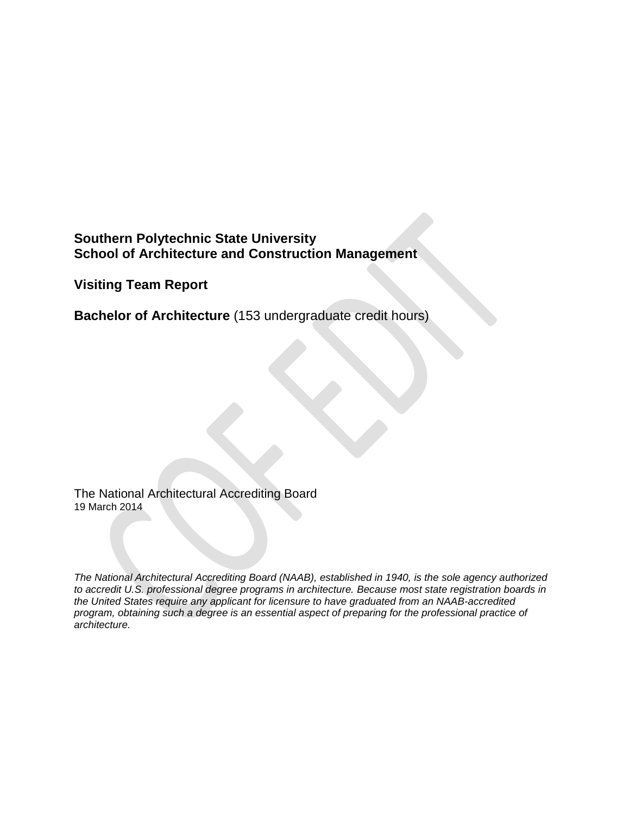# **Southern Polytechnic State University School of Architecture and Construction Management**

**Visiting Team Report**

**Bachelor of Architecture** (153 undergraduate credit hours)

The National Architectural Accrediting Board 19 March 2014

*The National Architectural Accrediting Board (NAAB), established in 1940, is the sole agency authorized to accredit U.S. professional degree programs in architecture. Because most state registration boards in the United States require any applicant for licensure to have graduated from an NAAB-accredited program, obtaining such a degree is an essential aspect of preparing for the professional practice of architecture.*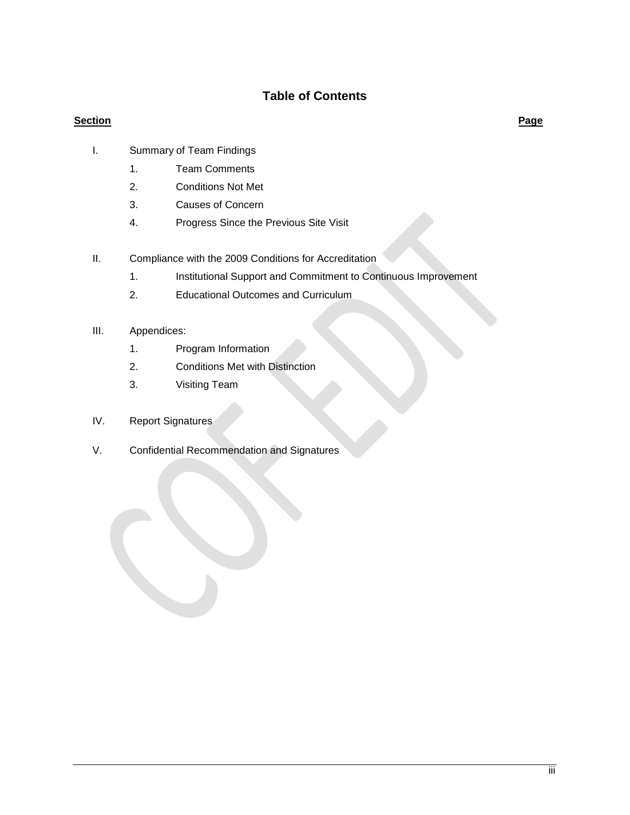# **Table of Contents**

## **Section Page**

- I. Summary of Team Findings
	- 1. Team Comments
	- 2. Conditions Not Met
	- 3. Causes of Concern
	- 4. Progress Since the Previous Site Visit
- II. Compliance with the 2009 Conditions for Accreditation
	- 1. Institutional Support and Commitment to Continuous Improvement
	- 2. Educational Outcomes and Curriculum

## III. Appendices:

- 1. Program Information
- 2. Conditions Met with Distinction
- 3. Visiting Team
- IV. Report Signatures
- V. Confidential Recommendation and Signatures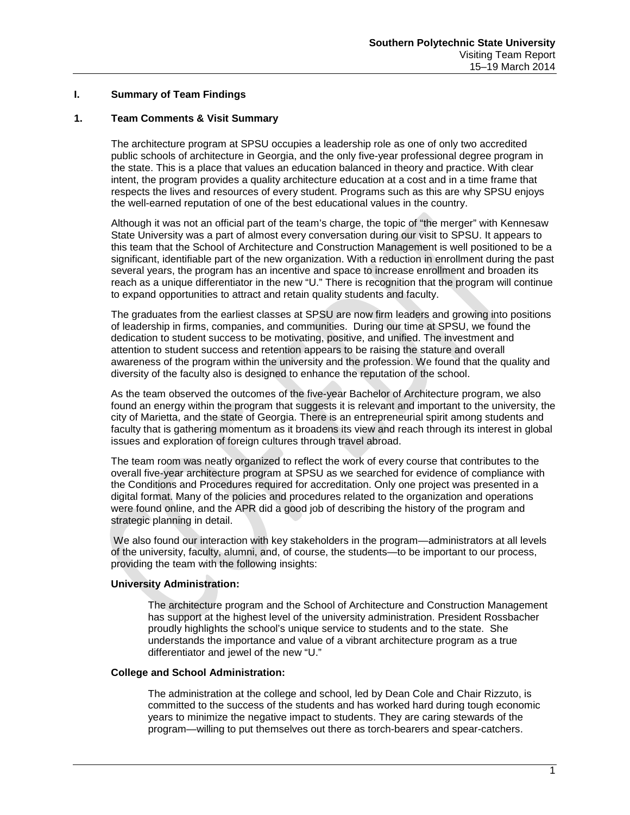### **I. Summary of Team Findings**

## **1. Team Comments & Visit Summary**

The architecture program at SPSU occupies a leadership role as one of only two accredited public schools of architecture in Georgia, and the only five-year professional degree program in the state. This is a place that values an education balanced in theory and practice. With clear intent, the program provides a quality architecture education at a cost and in a time frame that respects the lives and resources of every student. Programs such as this are why SPSU enjoys the well-earned reputation of one of the best educational values in the country.

Although it was not an official part of the team's charge, the topic of "the merger" with Kennesaw State University was a part of almost every conversation during our visit to SPSU. It appears to this team that the School of Architecture and Construction Management is well positioned to be a significant, identifiable part of the new organization. With a reduction in enrollment during the past several years, the program has an incentive and space to increase enrollment and broaden its reach as a unique differentiator in the new "U." There is recognition that the program will continue to expand opportunities to attract and retain quality students and faculty.

The graduates from the earliest classes at SPSU are now firm leaders and growing into positions of leadership in firms, companies, and communities. During our time at SPSU, we found the dedication to student success to be motivating, positive, and unified. The investment and attention to student success and retention appears to be raising the stature and overall awareness of the program within the university and the profession. We found that the quality and diversity of the faculty also is designed to enhance the reputation of the school.

As the team observed the outcomes of the five-year Bachelor of Architecture program, we also found an energy within the program that suggests it is relevant and important to the university, the city of Marietta, and the state of Georgia. There is an entrepreneurial spirit among students and faculty that is gathering momentum as it broadens its view and reach through its interest in global issues and exploration of foreign cultures through travel abroad.

The team room was neatly organized to reflect the work of every course that contributes to the overall five-year architecture program at SPSU as we searched for evidence of compliance with the Conditions and Procedures required for accreditation. Only one project was presented in a digital format. Many of the policies and procedures related to the organization and operations were found online, and the APR did a good job of describing the history of the program and strategic planning in detail.

We also found our interaction with key stakeholders in the program—administrators at all levels of the university, faculty, alumni, and, of course, the students—to be important to our process, providing the team with the following insights:

#### **University Administration:**

The architecture program and the School of Architecture and Construction Management has support at the highest level of the university administration. President Rossbacher proudly highlights the school's unique service to students and to the state. She understands the importance and value of a vibrant architecture program as a true differentiator and jewel of the new "U."

#### **College and School Administration:**

The administration at the college and school, led by Dean Cole and Chair Rizzuto, is committed to the success of the students and has worked hard during tough economic years to minimize the negative impact to students. They are caring stewards of the program—willing to put themselves out there as torch-bearers and spear-catchers.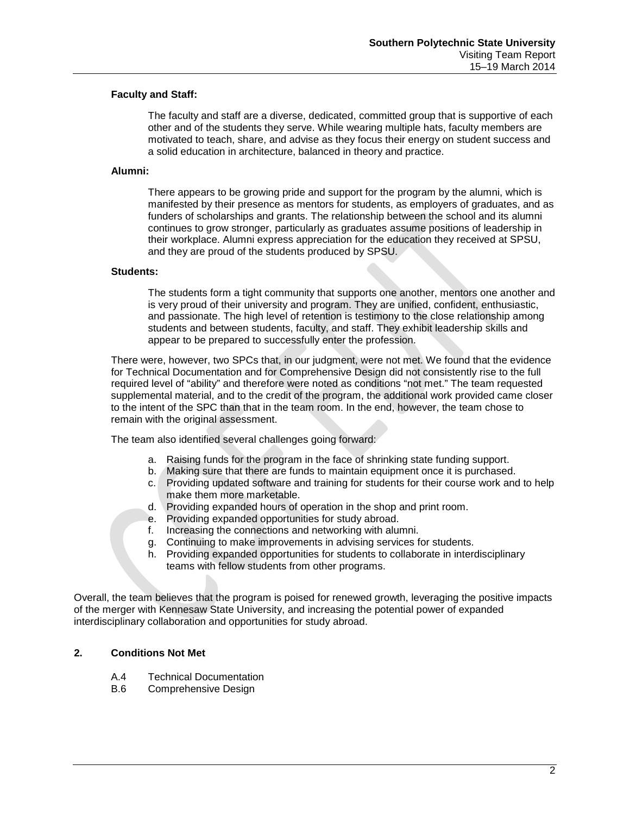### **Faculty and Staff:**

The faculty and staff are a diverse, dedicated, committed group that is supportive of each other and of the students they serve. While wearing multiple hats, faculty members are motivated to teach, share, and advise as they focus their energy on student success and a solid education in architecture, balanced in theory and practice.

### **Alumni:**

There appears to be growing pride and support for the program by the alumni, which is manifested by their presence as mentors for students, as employers of graduates, and as funders of scholarships and grants. The relationship between the school and its alumni continues to grow stronger, particularly as graduates assume positions of leadership in their workplace. Alumni express appreciation for the education they received at SPSU, and they are proud of the students produced by SPSU.

### **Students:**

The students form a tight community that supports one another, mentors one another and is very proud of their university and program. They are unified, confident, enthusiastic, and passionate. The high level of retention is testimony to the close relationship among students and between students, faculty, and staff. They exhibit leadership skills and appear to be prepared to successfully enter the profession.

There were, however, two SPCs that, in our judgment, were not met. We found that the evidence for Technical Documentation and for Comprehensive Design did not consistently rise to the full required level of "ability" and therefore were noted as conditions "not met." The team requested supplemental material, and to the credit of the program, the additional work provided came closer to the intent of the SPC than that in the team room. In the end, however, the team chose to remain with the original assessment.

The team also identified several challenges going forward:

- a. Raising funds for the program in the face of shrinking state funding support.
- b. Making sure that there are funds to maintain equipment once it is purchased.
- c. Providing updated software and training for students for their course work and to help make them more marketable.
- d. Providing expanded hours of operation in the shop and print room.
- e. Providing expanded opportunities for study abroad.
- f. Increasing the connections and networking with alumni.
- g. Continuing to make improvements in advising services for students.
- h. Providing expanded opportunities for students to collaborate in interdisciplinary teams with fellow students from other programs.

Overall, the team believes that the program is poised for renewed growth, leveraging the positive impacts of the merger with Kennesaw State University, and increasing the potential power of expanded interdisciplinary collaboration and opportunities for study abroad.

## **2. Conditions Not Met**

- A.4 Technical Documentation<br>B.6 Comprehensive Design
- Comprehensive Design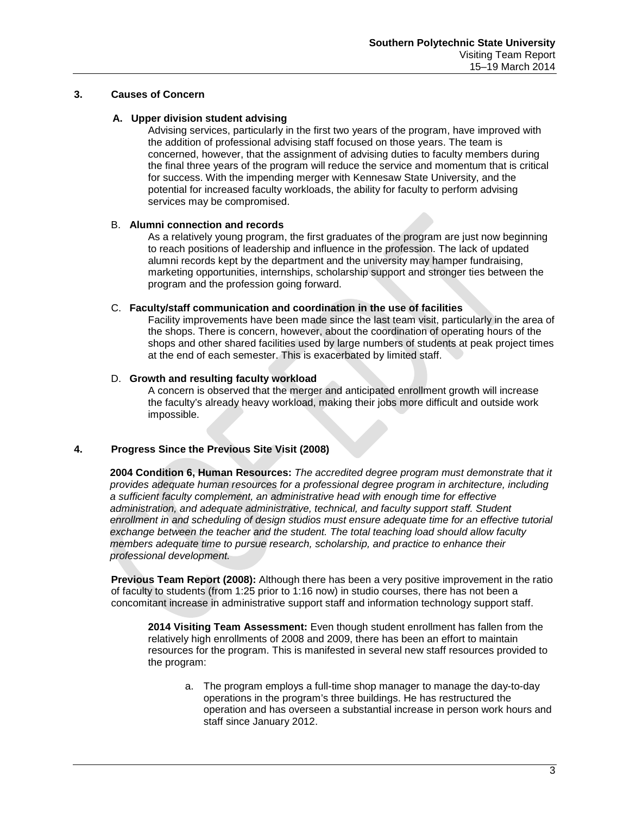## **3. Causes of Concern**

#### **A. Upper division student advising**

Advising services, particularly in the first two years of the program, have improved with the addition of professional advising staff focused on those years. The team is concerned, however, that the assignment of advising duties to faculty members during the final three years of the program will reduce the service and momentum that is critical for success. With the impending merger with Kennesaw State University, and the potential for increased faculty workloads, the ability for faculty to perform advising services may be compromised.

### B. **Alumni connection and records**

As a relatively young program, the first graduates of the program are just now beginning to reach positions of leadership and influence in the profession. The lack of updated alumni records kept by the department and the university may hamper fundraising, marketing opportunities, internships, scholarship support and stronger ties between the program and the profession going forward.

### C. **Faculty/staff communication and coordination in the use of facilities**

Facility improvements have been made since the last team visit, particularly in the area of the shops. There is concern, however, about the coordination of operating hours of the shops and other shared facilities used by large numbers of students at peak project times at the end of each semester. This is exacerbated by limited staff.

### D. **Growth and resulting faculty workload**

A concern is observed that the merger and anticipated enrollment growth will increase the faculty's already heavy workload, making their jobs more difficult and outside work impossible.

## **4. Progress Since the Previous Site Visit (2008)**

**2004 Condition 6, Human Resources:** *The accredited degree program must demonstrate that it provides adequate human resources for a professional degree program in architecture, including a sufficient faculty complement, an administrative head with enough time for effective administration, and adequate administrative, technical, and faculty support staff. Student*  enrollment in and scheduling of design studios must ensure adequate time for an effective tutorial *exchange between the teacher and the student. The total teaching load should allow faculty members adequate time to pursue research, scholarship, and practice to enhance their professional development.*

**Previous Team Report (2008):** Although there has been a very positive improvement in the ratio of faculty to students (from 1:25 prior to 1:16 now) in studio courses, there has not been a concomitant increase in administrative support staff and information technology support staff.

**2014 Visiting Team Assessment:** Even though student enrollment has fallen from the relatively high enrollments of 2008 and 2009, there has been an effort to maintain resources for the program. This is manifested in several new staff resources provided to the program:

a. The program employs a full-time shop manager to manage the day-to-day operations in the program's three buildings. He has restructured the operation and has overseen a substantial increase in person work hours and staff since January 2012.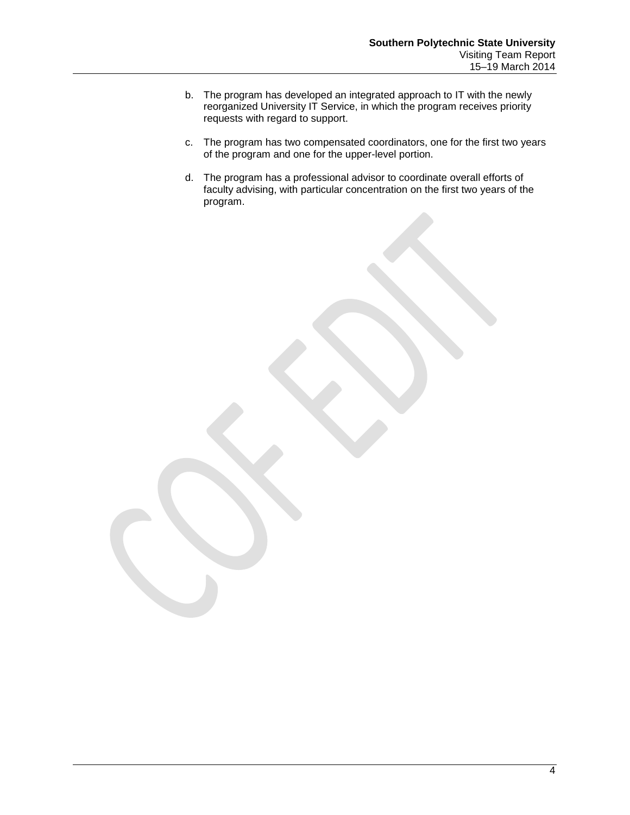- b. The program has developed an integrated approach to IT with the newly reorganized University IT Service, in which the program receives priority requests with regard to support.
- c. The program has two compensated coordinators, one for the first two years of the program and one for the upper-level portion.
- d. The program has a professional advisor to coordinate overall efforts of faculty advising, with particular concentration on the first two years of the program.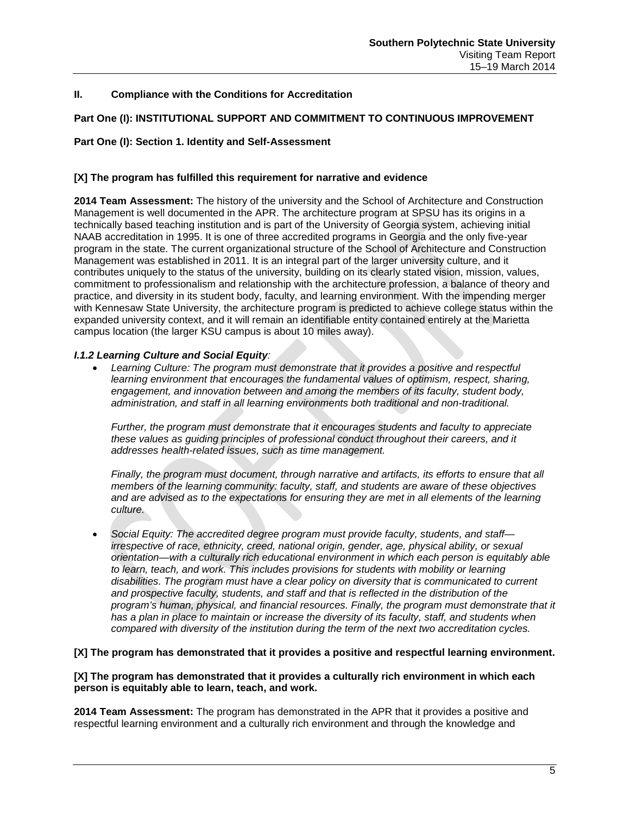## **II. Compliance with the Conditions for Accreditation**

## **Part One (I): INSTITUTIONAL SUPPORT AND COMMITMENT TO CONTINUOUS IMPROVEMENT**

### **Part One (I): Section 1. Identity and Self-Assessment**

### **[X] The program has fulfilled this requirement for narrative and evidence**

**2014 Team Assessment:** The history of the university and the School of Architecture and Construction Management is well documented in the APR. The architecture program at SPSU has its origins in a technically based teaching institution and is part of the University of Georgia system, achieving initial NAAB accreditation in 1995. It is one of three accredited programs in Georgia and the only five-year program in the state. The current organizational structure of the School of Architecture and Construction Management was established in 2011. It is an integral part of the larger university culture, and it contributes uniquely to the status of the university, building on its clearly stated vision, mission, values, commitment to professionalism and relationship with the architecture profession, a balance of theory and practice, and diversity in its student body, faculty, and learning environment. With the impending merger with Kennesaw State University, the architecture program is predicted to achieve college status within the expanded university context, and it will remain an identifiable entity contained entirely at the Marietta campus location (the larger KSU campus is about 10 miles away).

#### *I.1.2 Learning Culture and Social Equity:*

• *Learning Culture: The program must demonstrate that it provides a positive and respectful learning environment that encourages the fundamental values of optimism, respect, sharing,*  engagement, and innovation between and among the members of its faculty, student body, *administration, and staff in all learning environments both traditional and non-traditional.* 

*Further, the program must demonstrate that it encourages students and faculty to appreciate these values as guiding principles of professional conduct throughout their careers, and it addresses health-related issues, such as time management.*

*Finally, the program must document, through narrative and artifacts, its efforts to ensure that all members of the learning community: faculty, staff, and students are aware of these objectives and are advised as to the expectations for ensuring they are met in all elements of the learning culture.*

• *Social Equity: The accredited degree program must provide faculty, students, and staff irrespective of race, ethnicity, creed, national origin, gender, age, physical ability, or sexual orientation—with a culturally rich educational environment in which each person is equitably able*  to learn, teach, and work. This includes provisions for students with mobility or learning *disabilities. The program must have a clear policy on diversity that is communicated to current and prospective faculty, students, and staff and that is reflected in the distribution of the program's human, physical, and financial resources. Finally, the program must demonstrate that it*  has a plan in place to maintain or increase the diversity of its faculty, staff, and students when *compared with diversity of the institution during the term of the next two accreditation cycles.*

#### **[X] The program has demonstrated that it provides a positive and respectful learning environment.**

#### **[X] The program has demonstrated that it provides a culturally rich environment in which each person is equitably able to learn, teach, and work.**

**2014 Team Assessment:** The program has demonstrated in the APR that it provides a positive and respectful learning environment and a culturally rich environment and through the knowledge and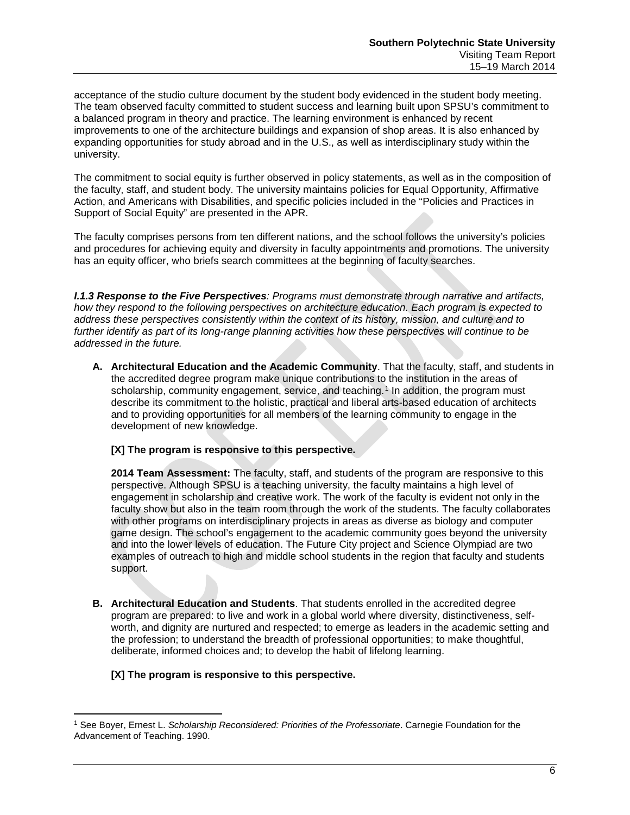acceptance of the studio culture document by the student body evidenced in the student body meeting. The team observed faculty committed to student success and learning built upon SPSU's commitment to a balanced program in theory and practice. The learning environment is enhanced by recent improvements to one of the architecture buildings and expansion of shop areas. It is also enhanced by expanding opportunities for study abroad and in the U.S., as well as interdisciplinary study within the university.

The commitment to social equity is further observed in policy statements, as well as in the composition of the faculty, staff, and student body. The university maintains policies for Equal Opportunity, Affirmative Action, and Americans with Disabilities, and specific policies included in the "Policies and Practices in Support of Social Equity" are presented in the APR.

The faculty comprises persons from ten different nations, and the school follows the university's policies and procedures for achieving equity and diversity in faculty appointments and promotions. The university has an equity officer, who briefs search committees at the beginning of faculty searches.

*I.1.3 Response to the Five Perspectives: Programs must demonstrate through narrative and artifacts, how they respond to the following perspectives on architecture education. Each program is expected to address these perspectives consistently within the context of its history, mission, and culture and to further identify as part of its long-range planning activities how these perspectives will continue to be addressed in the future.*

**A. Architectural Education and the Academic Community**. That the faculty, staff, and students in the accredited degree program make unique contributions to the institution in the areas of scholarship, community engagement, service, and teaching.<sup>[1](#page-7-0)</sup> In addition, the program must describe its commitment to the holistic, practical and liberal arts-based education of architects and to providing opportunities for all members of the learning community to engage in the development of new knowledge.

## **[X] The program is responsive to this perspective.**

**2014 Team Assessment:** The faculty, staff, and students of the program are responsive to this perspective. Although SPSU is a teaching university, the faculty maintains a high level of engagement in scholarship and creative work. The work of the faculty is evident not only in the faculty show but also in the team room through the work of the students. The faculty collaborates with other programs on interdisciplinary projects in areas as diverse as biology and computer game design. The school's engagement to the academic community goes beyond the university and into the lower levels of education. The Future City project and Science Olympiad are two examples of outreach to high and middle school students in the region that faculty and students support.

**B. Architectural Education and Students**. That students enrolled in the accredited degree program are prepared: to live and work in a global world where diversity, distinctiveness, selfworth, and dignity are nurtured and respected; to emerge as leaders in the academic setting and the profession; to understand the breadth of professional opportunities; to make thoughtful, deliberate, informed choices and; to develop the habit of lifelong learning.

## **[X] The program is responsive to this perspective.**

 $\overline{\phantom{a}}$ 

<span id="page-7-0"></span><sup>1</sup> See Boyer, Ernest L. *Scholarship Reconsidered: Priorities of the Professoriate*. Carnegie Foundation for the Advancement of Teaching. 1990.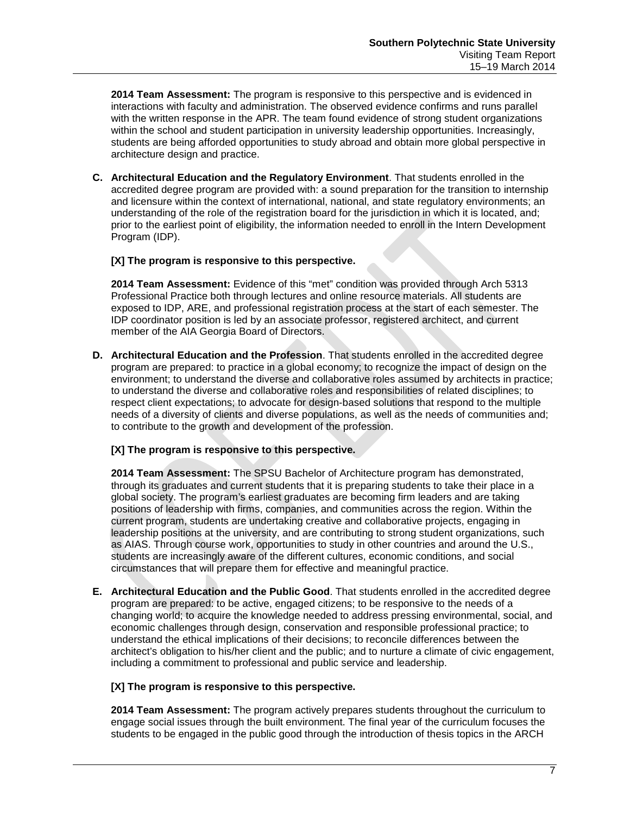**2014 Team Assessment:** The program is responsive to this perspective and is evidenced in interactions with faculty and administration. The observed evidence confirms and runs parallel with the written response in the APR. The team found evidence of strong student organizations within the school and student participation in university leadership opportunities. Increasingly, students are being afforded opportunities to study abroad and obtain more global perspective in architecture design and practice.

**C. Architectural Education and the Regulatory Environment**. That students enrolled in the accredited degree program are provided with: a sound preparation for the transition to internship and licensure within the context of international, national, and state regulatory environments; an understanding of the role of the registration board for the jurisdiction in which it is located, and; prior to the earliest point of eligibility, the information needed to enroll in the Intern Development Program (IDP).

## **[X] The program is responsive to this perspective.**

**2014 Team Assessment:** Evidence of this "met" condition was provided through Arch 5313 Professional Practice both through lectures and online resource materials. All students are exposed to IDP, ARE, and professional registration process at the start of each semester. The IDP coordinator position is led by an associate professor, registered architect, and current member of the AIA Georgia Board of Directors.

**D. Architectural Education and the Profession**. That students enrolled in the accredited degree program are prepared: to practice in a global economy; to recognize the impact of design on the environment; to understand the diverse and collaborative roles assumed by architects in practice; to understand the diverse and collaborative roles and responsibilities of related disciplines; to respect client expectations; to advocate for design-based solutions that respond to the multiple needs of a diversity of clients and diverse populations, as well as the needs of communities and; to contribute to the growth and development of the profession.

## **[X] The program is responsive to this perspective.**

**2014 Team Assessment:** The SPSU Bachelor of Architecture program has demonstrated, through its graduates and current students that it is preparing students to take their place in a global society. The program's earliest graduates are becoming firm leaders and are taking positions of leadership with firms, companies, and communities across the region. Within the current program, students are undertaking creative and collaborative projects, engaging in leadership positions at the university, and are contributing to strong student organizations, such as AIAS. Through course work, opportunities to study in other countries and around the U.S., students are increasingly aware of the different cultures, economic conditions, and social circumstances that will prepare them for effective and meaningful practice.

**E. Architectural Education and the Public Good**. That students enrolled in the accredited degree program are prepared: to be active, engaged citizens; to be responsive to the needs of a changing world; to acquire the knowledge needed to address pressing environmental, social, and economic challenges through design, conservation and responsible professional practice; to understand the ethical implications of their decisions; to reconcile differences between the architect's obligation to his/her client and the public; and to nurture a climate of civic engagement, including a commitment to professional and public service and leadership.

#### **[X] The program is responsive to this perspective.**

**2014 Team Assessment:** The program actively prepares students throughout the curriculum to engage social issues through the built environment. The final year of the curriculum focuses the students to be engaged in the public good through the introduction of thesis topics in the ARCH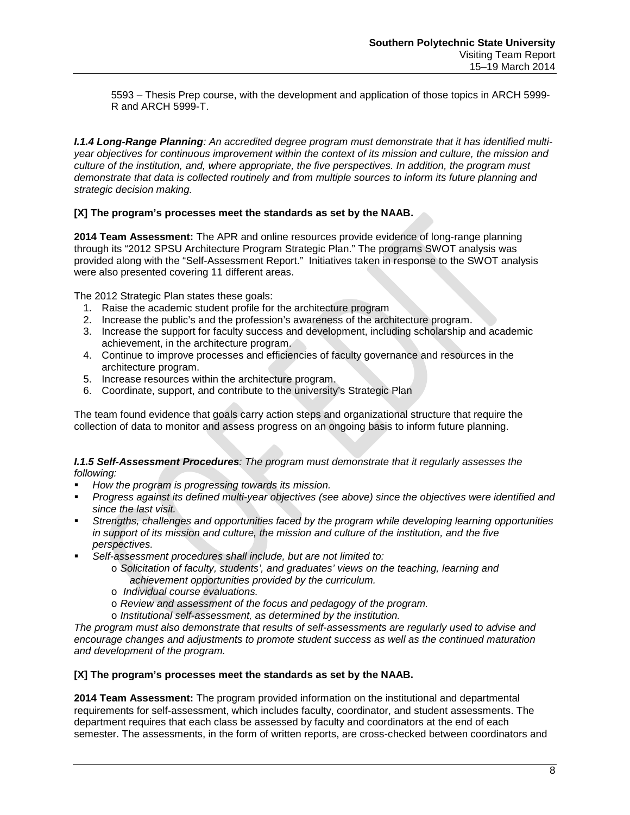5593 – Thesis Prep course, with the development and application of those topics in ARCH 5999- R and ARCH 5999-T.

*I.1.4 Long-Range Planning: An accredited degree program must demonstrate that it has identified multiyear objectives for continuous improvement within the context of its mission and culture, the mission and culture of the institution, and, where appropriate, the five perspectives. In addition, the program must demonstrate that data is collected routinely and from multiple sources to inform its future planning and strategic decision making.*

## **[X] The program's processes meet the standards as set by the NAAB.**

**2014 Team Assessment:** The APR and online resources provide evidence of long-range planning through its "2012 SPSU Architecture Program Strategic Plan." The programs SWOT analysis was provided along with the "Self-Assessment Report." Initiatives taken in response to the SWOT analysis were also presented covering 11 different areas.

The 2012 Strategic Plan states these goals:

- 1. Raise the academic student profile for the architecture program
- 2. Increase the public's and the profession's awareness of the architecture program.
- 3. Increase the support for faculty success and development, including scholarship and academic achievement, in the architecture program.
- 4. Continue to improve processes and efficiencies of faculty governance and resources in the architecture program.
- 5. Increase resources within the architecture program.
- 6. Coordinate, support, and contribute to the university's Strategic Plan

The team found evidence that goals carry action steps and organizational structure that require the collection of data to monitor and assess progress on an ongoing basis to inform future planning.

### *I.1.5 Self-Assessment Procedures: The program must demonstrate that it regularly assesses the following:*

- *How the program is progressing towards its mission.*
- *Progress against its defined multi-year objectives (see above) since the objectives were identified and since the last visit.*
- *Strengths, challenges and opportunities faced by the program while developing learning opportunities in support of its mission and culture, the mission and culture of the institution, and the five perspectives.*
- *Self-assessment procedures shall include, but are not limited to:*
	- o *Solicitation of faculty, students', and graduates' views on the teaching, learning and achievement opportunities provided by the curriculum.*
	- o *Individual course evaluations.*
	- o *Review and assessment of the focus and pedagogy of the program.*
	- o *Institutional self-assessment, as determined by the institution.*

*The program must also demonstrate that results of self-assessments are regularly used to advise and encourage changes and adjustments to promote student success as well as the continued maturation and development of the program.*

## **[X] The program's processes meet the standards as set by the NAAB.**

**2014 Team Assessment:** The program provided information on the institutional and departmental requirements for self-assessment, which includes faculty, coordinator, and student assessments. The department requires that each class be assessed by faculty and coordinators at the end of each semester. The assessments, in the form of written reports, are cross-checked between coordinators and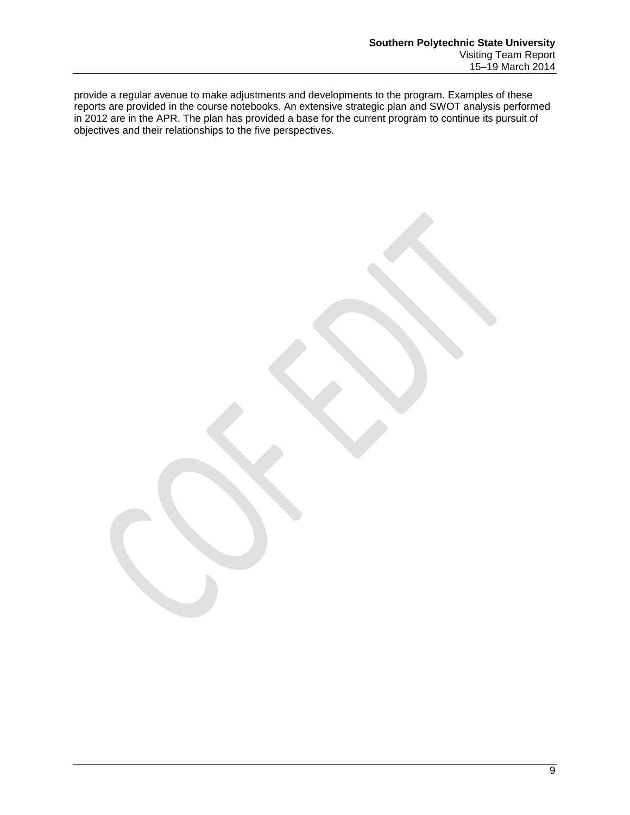provide a regular avenue to make adjustments and developments to the program. Examples of these reports are provided in the course notebooks. An extensive strategic plan and SWOT analysis performed in 2012 are in the APR. The plan has provided a base for the current program to continue its pursuit of objectives and their relationships to the five perspectives.

9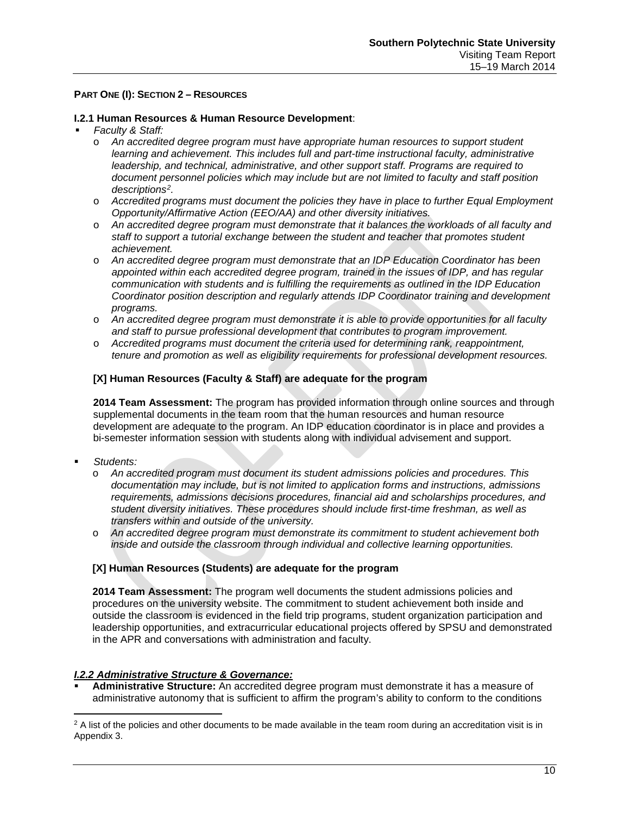### **PART ONE (I): SECTION 2 – RESOURCES**

### **I.2.1 Human Resources & Human Resource Development**:

#### *Faculty & Staff:*

- o *An accredited degree program must have appropriate human resources to support student learning and achievement. This includes full and part-time instructional faculty, administrative leadership, and technical, administrative, and other support staff. Programs are required to document personnel policies which may include but are not limited to faculty and staff position descriptions[2](#page-11-0).*
- o *Accredited programs must document the policies they have in place to further Equal Employment Opportunity/Affirmative Action (EEO/AA) and other diversity initiatives.*
- o *An accredited degree program must demonstrate that it balances the workloads of all faculty and staff to support a tutorial exchange between the student and teacher that promotes student achievement.*
- o *An accredited degree program must demonstrate that an IDP Education Coordinator has been appointed within each accredited degree program, trained in the issues of IDP, and has regular communication with students and is fulfilling the requirements as outlined in the IDP Education Coordinator position description and regularly attends IDP Coordinator training and development programs.*
- o *An accredited degree program must demonstrate it is able to provide opportunities for all faculty and staff to pursue professional development that contributes to program improvement.*
- o *Accredited programs must document the criteria used for determining rank, reappointment, tenure and promotion as well as eligibility requirements for professional development resources.*

### **[X] Human Resources (Faculty & Staff) are adequate for the program**

**2014 Team Assessment:** The program has provided information through online sources and through supplemental documents in the team room that the human resources and human resource development are adequate to the program. An IDP education coordinator is in place and provides a bi-semester information session with students along with individual advisement and support.

*Students:*

 $\overline{\phantom{a}}$ 

- o *An accredited program must document its student admissions policies and procedures. This documentation may include, but is not limited to application forms and instructions, admissions requirements, admissions decisions procedures, financial aid and scholarships procedures, and student diversity initiatives. These procedures should include first-time freshman, as well as transfers within and outside of the university.*
- o *An accredited degree program must demonstrate its commitment to student achievement both inside and outside the classroom through individual and collective learning opportunities.*

#### **[X] Human Resources (Students) are adequate for the program**

**2014 Team Assessment:** The program well documents the student admissions policies and procedures on the university website. The commitment to student achievement both inside and outside the classroom is evidenced in the field trip programs, student organization participation and leadership opportunities, and extracurricular educational projects offered by SPSU and demonstrated in the APR and conversations with administration and faculty.

#### *I.2.2 Administrative Structure & Governance:*

 **Administrative Structure:** An accredited degree program must demonstrate it has a measure of administrative autonomy that is sufficient to affirm the program's ability to conform to the conditions

<span id="page-11-0"></span> $2$  A list of the policies and other documents to be made available in the team room during an accreditation visit is in Appendix 3.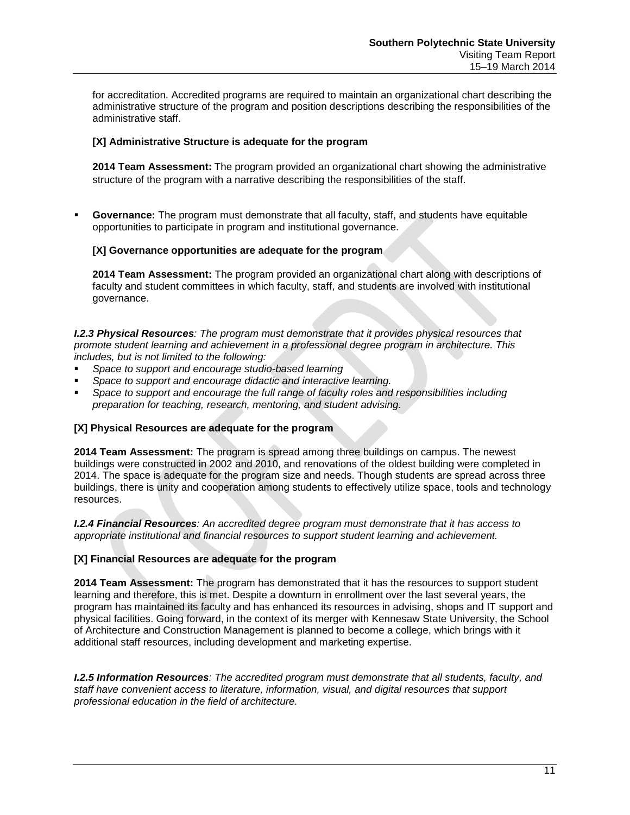for accreditation. Accredited programs are required to maintain an organizational chart describing the administrative structure of the program and position descriptions describing the responsibilities of the administrative staff.

## **[X] Administrative Structure is adequate for the program**

**2014 Team Assessment:** The program provided an organizational chart showing the administrative structure of the program with a narrative describing the responsibilities of the staff.

 **Governance:** The program must demonstrate that all faculty, staff, and students have equitable opportunities to participate in program and institutional governance.

### **[X] Governance opportunities are adequate for the program**

**2014 Team Assessment:** The program provided an organizational chart along with descriptions of faculty and student committees in which faculty, staff, and students are involved with institutional governance.

*I.2.3 Physical Resources: The program must demonstrate that it provides physical resources that promote student learning and achievement in a professional degree program in architecture. This includes, but is not limited to the following:*

- *Space to support and encourage studio-based learning*
- *Space to support and encourage didactic and interactive learning.*
- *Space to support and encourage the full range of faculty roles and responsibilities including preparation for teaching, research, mentoring, and student advising.*

## **[X] Physical Resources are adequate for the program**

**2014 Team Assessment:** The program is spread among three buildings on campus. The newest buildings were constructed in 2002 and 2010, and renovations of the oldest building were completed in 2014. The space is adequate for the program size and needs. Though students are spread across three buildings, there is unity and cooperation among students to effectively utilize space, tools and technology resources.

*I.2.4 Financial Resources: An accredited degree program must demonstrate that it has access to appropriate institutional and financial resources to support student learning and achievement.* 

#### **[X] Financial Resources are adequate for the program**

**2014 Team Assessment:** The program has demonstrated that it has the resources to support student learning and therefore, this is met. Despite a downturn in enrollment over the last several years, the program has maintained its faculty and has enhanced its resources in advising, shops and IT support and physical facilities. Going forward, in the context of its merger with Kennesaw State University, the School of Architecture and Construction Management is planned to become a college, which brings with it additional staff resources, including development and marketing expertise.

*I.2.5 Information Resources: The accredited program must demonstrate that all students, faculty, and staff have convenient access to literature, information, visual, and digital resources that support professional education in the field of architecture.*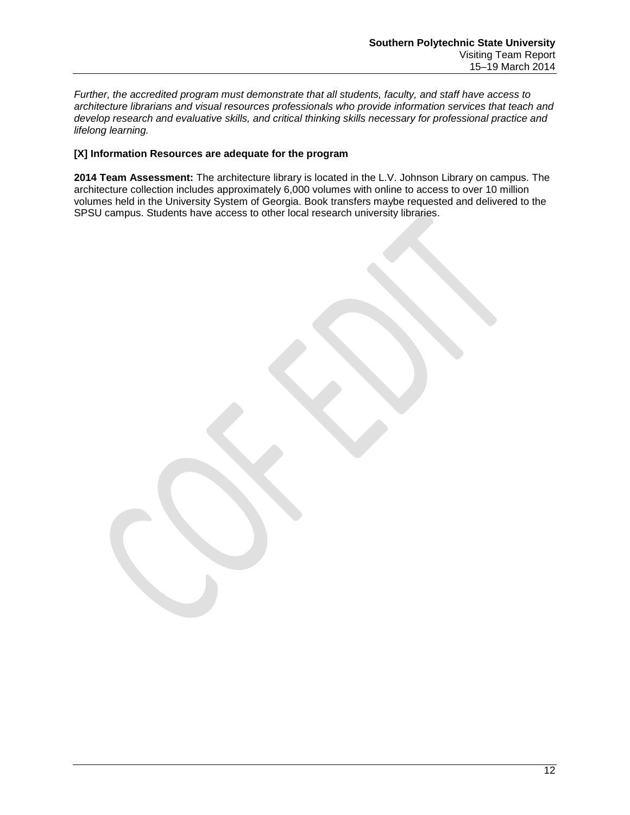*Further, the accredited program must demonstrate that all students, faculty, and staff have access to architecture librarians and visual resources professionals who provide information services that teach and develop research and evaluative skills, and critical thinking skills necessary for professional practice and lifelong learning.*

## **[X] Information Resources are adequate for the program**

**2014 Team Assessment:** The architecture library is located in the L.V. Johnson Library on campus. The architecture collection includes approximately 6,000 volumes with online to access to over 10 million volumes held in the University System of Georgia. Book transfers maybe requested and delivered to the SPSU campus. Students have access to other local research university libraries.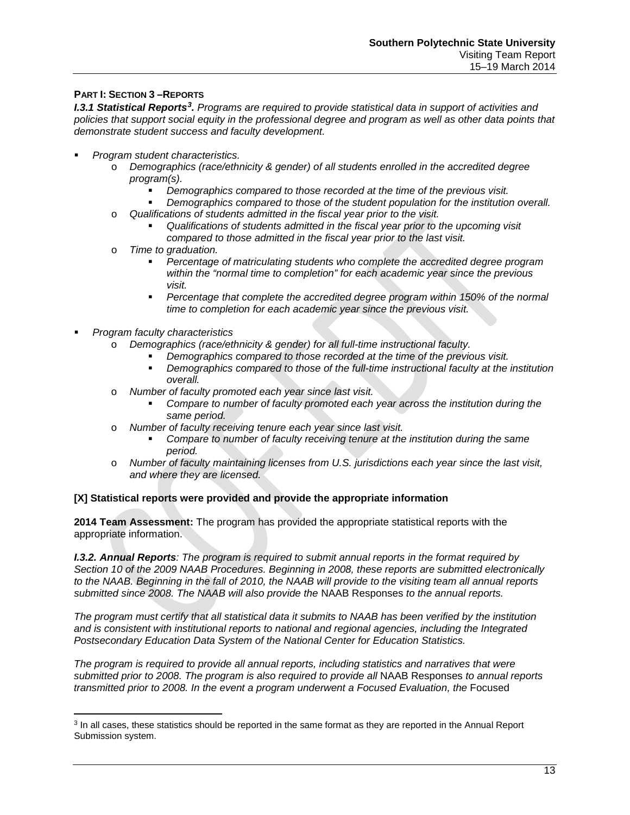## **PART I: SECTION 3 –REPORTS**

**I.[3](#page-14-0).1 Statistical Reports<sup>3</sup>.** Programs are required to provide statistical data in support of activities and policies that support social equity in the professional degree and program as well as other data points that *demonstrate student success and faculty development.*

- *Program student characteristics.* 
	- o *Demographics (race/ethnicity & gender) of all students enrolled in the accredited degree program(s).*
		- *Demographics compared to those recorded at the time of the previous visit.*
		- *Demographics compared to those of the student population for the institution overall.*
	- o *Qualifications of students admitted in the fiscal year prior to the visit.* 
		- *Qualifications of students admitted in the fiscal year prior to the upcoming visit compared to those admitted in the fiscal year prior to the last visit.*
	- o *Time to graduation.*
		- *Percentage of matriculating students who complete the accredited degree program within the "normal time to completion" for each academic year since the previous visit.*
		- *Percentage that complete the accredited degree program within 150% of the normal time to completion for each academic year since the previous visit.*
- *Program faculty characteristics*

 $\overline{\phantom{a}}$ 

- o *Demographics (race/ethnicity & gender) for all full-time instructional faculty.*
	- *Demographics compared to those recorded at the time of the previous visit.*
	- *Demographics compared to those of the full-time instructional faculty at the institution overall.*
- o *Number of faculty promoted each year since last visit.*
	- *Compare to number of faculty promoted each year across the institution during the same period.*
- o *Number of faculty receiving tenure each year since last visit.*
	- *Compare to number of faculty receiving tenure at the institution during the same period.*
- o *Number of faculty maintaining licenses from U.S. jurisdictions each year since the last visit, and where they are licensed.*

## **[X] Statistical reports were provided and provide the appropriate information**

**2014 Team Assessment:** The program has provided the appropriate statistical reports with the appropriate information.

*I.3.2. Annual Reports: The program is required to submit annual reports in the format required by Section 10 of the 2009 NAAB Procedures. Beginning in 2008, these reports are submitted electronically to the NAAB. Beginning in the fall of 2010, the NAAB will provide to the visiting team all annual reports submitted since 2008. The NAAB will also provide the* NAAB Responses *to the annual reports.*

*The program must certify that all statistical data it submits to NAAB has been verified by the institution and is consistent with institutional reports to national and regional agencies, including the Integrated Postsecondary Education Data System of the National Center for Education Statistics.* 

*The program is required to provide all annual reports, including statistics and narratives that were submitted prior to 2008. The program is also required to provide all* NAAB Responses *to annual reports transmitted prior to 2008. In the event a program underwent a Focused Evaluation, the Focused* 

<span id="page-14-0"></span><sup>3</sup> In all cases, these statistics should be reported in the same format as they are reported in the Annual Report Submission system.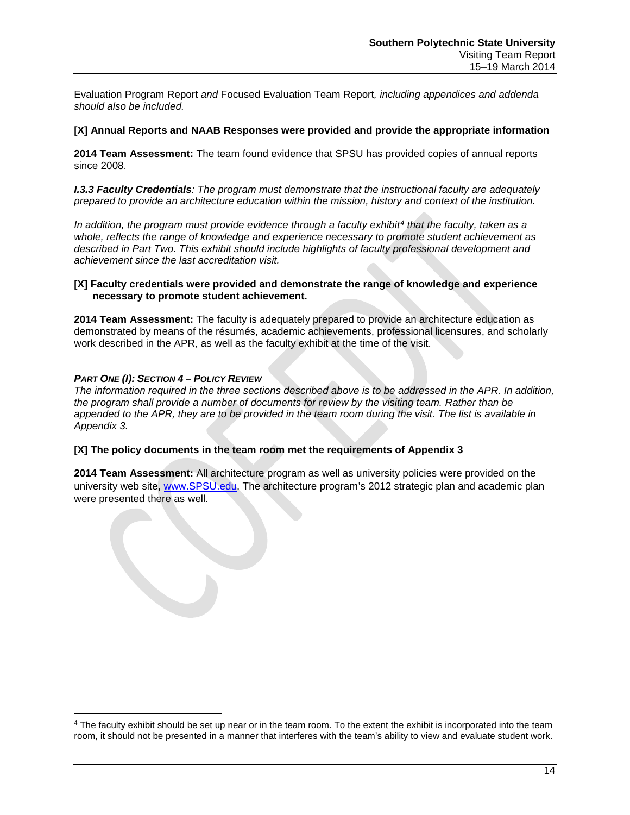Evaluation Program Report *and* Focused Evaluation Team Report*, including appendices and addenda should also be included.*

#### **[X] Annual Reports and NAAB Responses were provided and provide the appropriate information**

**2014 Team Assessment:** The team found evidence that SPSU has provided copies of annual reports since 2008.

*I.3.3 Faculty Credentials: The program must demonstrate that the instructional faculty are adequately prepared to provide an architecture education within the mission, history and context of the institution.* 

*In addition, the program must provide evidence through a faculty exhibit[4](#page-15-0) that the faculty, taken as a whole, reflects the range of knowledge and experience necessary to promote student achievement as described in Part Two. This exhibit should include highlights of faculty professional development and achievement since the last accreditation visit.*

#### **[X] Faculty credentials were provided and demonstrate the range of knowledge and experience necessary to promote student achievement.**

**2014 Team Assessment:** The faculty is adequately prepared to provide an architecture education as demonstrated by means of the résumés, academic achievements, professional licensures, and scholarly work described in the APR, as well as the faculty exhibit at the time of the visit.

## *PART ONE (I): SECTION 4 – POLICY REVIEW*

 $\overline{\phantom{a}}$ 

*The information required in the three sections described above is to be addressed in the APR. In addition, the program shall provide a number of documents for review by the visiting team. Rather than be appended to the APR, they are to be provided in the team room during the visit. The list is available in Appendix 3.*

#### **[X] The policy documents in the team room met the requirements of Appendix 3**

**2014 Team Assessment:** All architecture program as well as university policies were provided on the university web site, [www.SPSU.edu.](http://www.spsu.edu/) The architecture program's 2012 strategic plan and academic plan were presented there as well.

<span id="page-15-0"></span><sup>&</sup>lt;sup>4</sup> The faculty exhibit should be set up near or in the team room. To the extent the exhibit is incorporated into the team room, it should not be presented in a manner that interferes with the team's ability to view and evaluate student work.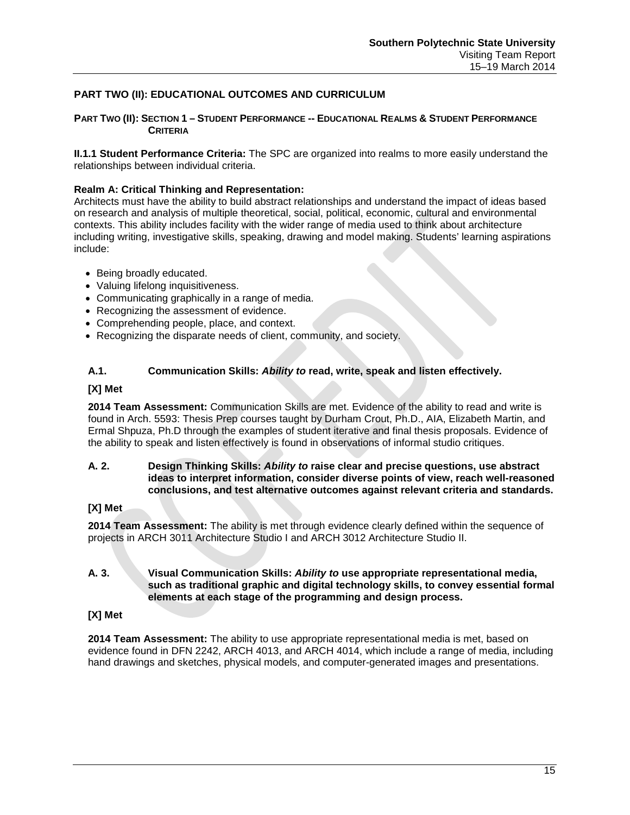## **PART TWO (II): EDUCATIONAL OUTCOMES AND CURRICULUM**

#### **PART TWO (II): SECTION 1 – STUDENT PERFORMANCE -- EDUCATIONAL REALMS & STUDENT PERFORMANCE CRITERIA**

**II.1.1 Student Performance Criteria:** The SPC are organized into realms to more easily understand the relationships between individual criteria.

#### **Realm A: Critical Thinking and Representation:**

Architects must have the ability to build abstract relationships and understand the impact of ideas based on research and analysis of multiple theoretical, social, political, economic, cultural and environmental contexts. This ability includes facility with the wider range of media used to think about architecture including writing, investigative skills, speaking, drawing and model making. Students' learning aspirations include:

- Being broadly educated.
- Valuing lifelong inquisitiveness.
- Communicating graphically in a range of media.
- Recognizing the assessment of evidence.
- Comprehending people, place, and context.
- Recognizing the disparate needs of client, community, and society.

## **A.1. Communication Skills:** *Ability to* **read, write, speak and listen effectively.**

#### **[X] Met**

**2014 Team Assessment:** Communication Skills are met. Evidence of the ability to read and write is found in Arch. 5593: Thesis Prep courses taught by Durham Crout, Ph.D., AIA, Elizabeth Martin, and Ermal Shpuza, Ph.D through the examples of student iterative and final thesis proposals. Evidence of the ability to speak and listen effectively is found in observations of informal studio critiques.

## **A. 2. Design Thinking Skills:** *Ability to* **raise clear and precise questions, use abstract ideas to interpret information, consider diverse points of view, reach well-reasoned conclusions, and test alternative outcomes against relevant criteria and standards.**

#### **[X] Met**

**2014 Team Assessment:** The ability is met through evidence clearly defined within the sequence of projects in ARCH 3011 Architecture Studio I and ARCH 3012 Architecture Studio II.

## **A. 3. Visual Communication Skills:** *Ability to* **use appropriate representational media, such as traditional graphic and digital technology skills, to convey essential formal elements at each stage of the programming and design process.**

#### **[X] Met**

**2014 Team Assessment:** The ability to use appropriate representational media is met, based on evidence found in DFN 2242, ARCH 4013, and ARCH 4014, which include a range of media, including hand drawings and sketches, physical models, and computer-generated images and presentations.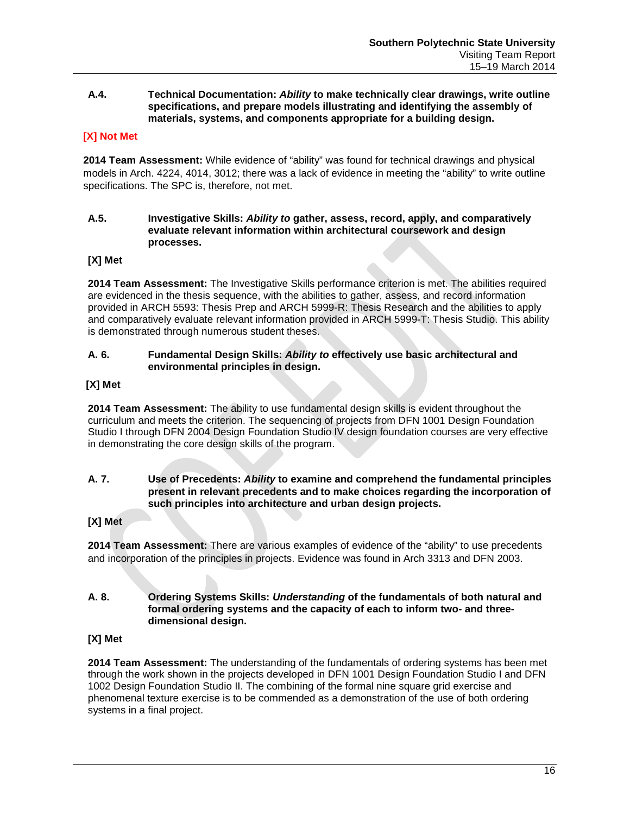### **A.4. Technical Documentation:** *Ability* **to make technically clear drawings, write outline specifications, and prepare models illustrating and identifying the assembly of materials, systems, and components appropriate for a building design.**

## **[X] Not Met**

**2014 Team Assessment:** While evidence of "ability" was found for technical drawings and physical models in Arch. 4224, 4014, 3012; there was a lack of evidence in meeting the "ability" to write outline specifications. The SPC is, therefore, not met.

#### **A.5. Investigative Skills:** *Ability to* **gather, assess, record, apply, and comparatively evaluate relevant information within architectural coursework and design processes.**

## **[X] Met**

**2014 Team Assessment:** The Investigative Skills performance criterion is met. The abilities required are evidenced in the thesis sequence, with the abilities to gather, assess, and record information provided in ARCH 5593: Thesis Prep and ARCH 5999-R: Thesis Research and the abilities to apply and comparatively evaluate relevant information provided in ARCH 5999-T: Thesis Studio. This ability is demonstrated through numerous student theses.

## **A. 6. Fundamental Design Skills:** *Ability to* **effectively use basic architectural and environmental principles in design.**

## **[X] Met**

**2014 Team Assessment:** The ability to use fundamental design skills is evident throughout the curriculum and meets the criterion. The sequencing of projects from DFN 1001 Design Foundation Studio I through DFN 2004 Design Foundation Studio IV design foundation courses are very effective in demonstrating the core design skills of the program.

## **A. 7. Use of Precedents:** *Ability* **to examine and comprehend the fundamental principles present in relevant precedents and to make choices regarding the incorporation of such principles into architecture and urban design projects.**

## **[X] Met**

**2014 Team Assessment:** There are various examples of evidence of the "ability" to use precedents and incorporation of the principles in projects. Evidence was found in Arch 3313 and DFN 2003.

## **A. 8. Ordering Systems Skills:** *Understanding* **of the fundamentals of both natural and formal ordering systems and the capacity of each to inform two- and threedimensional design.**

## **[X] Met**

**2014 Team Assessment:** The understanding of the fundamentals of ordering systems has been met through the work shown in the projects developed in DFN 1001 Design Foundation Studio I and DFN 1002 Design Foundation Studio II. The combining of the formal nine square grid exercise and phenomenal texture exercise is to be commended as a demonstration of the use of both ordering systems in a final project.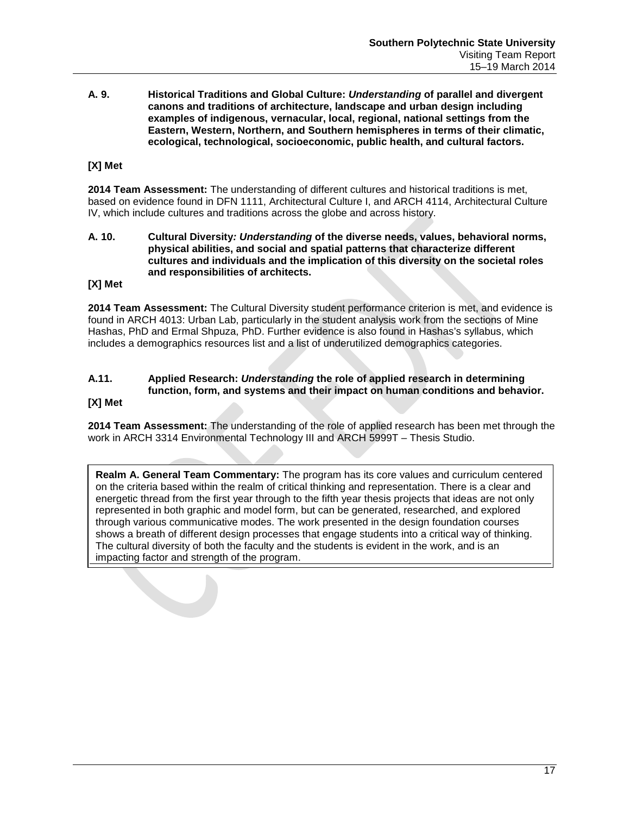**A. 9. Historical Traditions and Global Culture:** *Understanding* **of parallel and divergent canons and traditions of architecture, landscape and urban design including examples of indigenous, vernacular, local, regional, national settings from the Eastern, Western, Northern, and Southern hemispheres in terms of their climatic, ecological, technological, socioeconomic, public health, and cultural factors.**

## **[X] Met**

**2014 Team Assessment:** The understanding of different cultures and historical traditions is met, based on evidence found in DFN 1111, Architectural Culture I, and ARCH 4114, Architectural Culture IV, which include cultures and traditions across the globe and across history.

#### **A. 10. Cultural Diversity***: Understanding* **of the diverse needs, values, behavioral norms, physical abilities, and social and spatial patterns that characterize different cultures and individuals and the implication of this diversity on the societal roles and responsibilities of architects.**

### **[X] Met**

**2014 Team Assessment:** The Cultural Diversity student performance criterion is met, and evidence is found in ARCH 4013: Urban Lab, particularly in the student analysis work from the sections of Mine Hashas, PhD and Ermal Shpuza, PhD. Further evidence is also found in Hashas's syllabus, which includes a demographics resources list and a list of underutilized demographics categories.

#### **A.11. Applied Research:** *Understanding* **the role of applied research in determining function, form, and systems and their impact on human conditions and behavior. [X] Met**

**2014 Team Assessment:** The understanding of the role of applied research has been met through the work in ARCH 3314 Environmental Technology III and ARCH 5999T – Thesis Studio.

**Realm A. General Team Commentary:** The program has its core values and curriculum centered on the criteria based within the realm of critical thinking and representation. There is a clear and energetic thread from the first year through to the fifth year thesis projects that ideas are not only represented in both graphic and model form, but can be generated, researched, and explored through various communicative modes. The work presented in the design foundation courses shows a breath of different design processes that engage students into a critical way of thinking. The cultural diversity of both the faculty and the students is evident in the work, and is an impacting factor and strength of the program.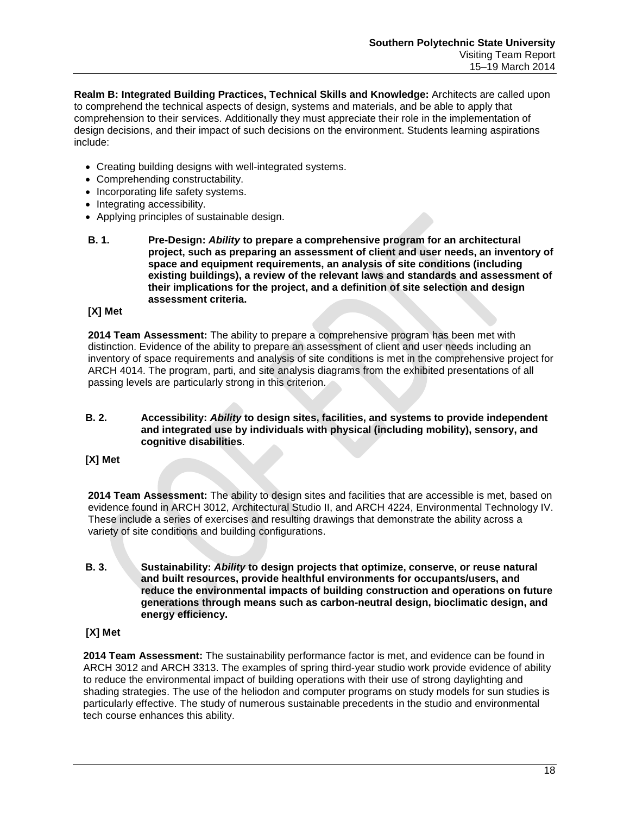**Realm B: Integrated Building Practices, Technical Skills and Knowledge:** Architects are called upon to comprehend the technical aspects of design, systems and materials, and be able to apply that comprehension to their services. Additionally they must appreciate their role in the implementation of design decisions, and their impact of such decisions on the environment. Students learning aspirations include:

- Creating building designs with well-integrated systems.
- Comprehending constructability.
- Incorporating life safety systems.
- Integrating accessibility.
- Applying principles of sustainable design.
- **B. 1. Pre-Design:** *Ability* **to prepare a comprehensive program for an architectural project, such as preparing an assessment of client and user needs, an inventory of space and equipment requirements, an analysis of site conditions (including existing buildings), a review of the relevant laws and standards and assessment of their implications for the project, and a definition of site selection and design assessment criteria.**

## **[X] Met**

**2014 Team Assessment:** The ability to prepare a comprehensive program has been met with distinction. Evidence of the ability to prepare an assessment of client and user needs including an inventory of space requirements and analysis of site conditions is met in the comprehensive project for ARCH 4014. The program, parti, and site analysis diagrams from the exhibited presentations of all passing levels are particularly strong in this criterion.

#### **B. 2. Accessibility:** *Ability* **to design sites, facilities, and systems to provide independent and integrated use by individuals with physical (including mobility), sensory, and cognitive disabilities**.

#### **[X] Met**

**2014 Team Assessment:** The ability to design sites and facilities that are accessible is met, based on evidence found in ARCH 3012, Architectural Studio II, and ARCH 4224, Environmental Technology IV. These include a series of exercises and resulting drawings that demonstrate the ability across a variety of site conditions and building configurations.

**B. 3. Sustainability:** *Ability* **to design projects that optimize, conserve, or reuse natural and built resources, provide healthful environments for occupants/users, and reduce the environmental impacts of building construction and operations on future generations through means such as carbon-neutral design, bioclimatic design, and energy efficiency.**

## **[X] Met**

**2014 Team Assessment:** The sustainability performance factor is met, and evidence can be found in ARCH 3012 and ARCH 3313. The examples of spring third-year studio work provide evidence of ability to reduce the environmental impact of building operations with their use of strong daylighting and shading strategies. The use of the heliodon and computer programs on study models for sun studies is particularly effective. The study of numerous sustainable precedents in the studio and environmental tech course enhances this ability.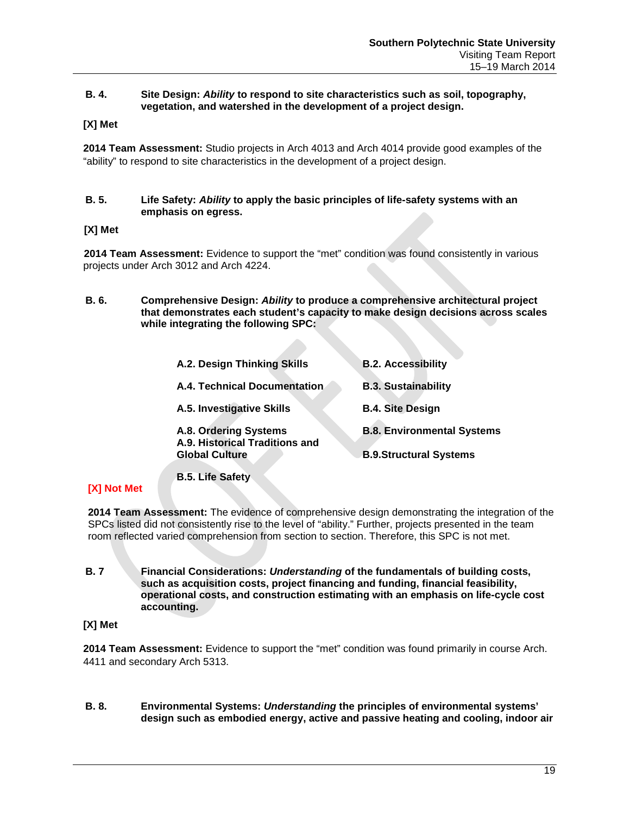## **B. 4. Site Design:** *Ability* **to respond to site characteristics such as soil, topography, vegetation, and watershed in the development of a project design.**

## **[X] Met**

**2014 Team Assessment:** Studio projects in Arch 4013 and Arch 4014 provide good examples of the "ability" to respond to site characteristics in the development of a project design.

### **B. 5. Life Safety:** *Ability* **to apply the basic principles of life-safety systems with an emphasis on egress.**

## **[X] Met**

**2014 Team Assessment:** Evidence to support the "met" condition was found consistently in various projects under Arch 3012 and Arch 4224.

**B. 6. Comprehensive Design:** *Ability* **to produce a comprehensive architectural project that demonstrates each student's capacity to make design decisions across scales while integrating the following SPC:**

| A.2. Design Thinking Skills                                                      | <b>B.2. Accessibility</b>                                          |
|----------------------------------------------------------------------------------|--------------------------------------------------------------------|
| A.4. Technical Documentation                                                     | <b>B.3. Sustainability</b>                                         |
| A.5. Investigative Skills                                                        | <b>B.4. Site Design</b>                                            |
| A.8. Ordering Systems<br>A.9. Historical Traditions and<br><b>Global Culture</b> | <b>B.8. Environmental Systems</b><br><b>B.9.Structural Systems</b> |

**B.5. Life Safety**

## **[X] Not Met**

**2014 Team Assessment:** The evidence of comprehensive design demonstrating the integration of the SPCs listed did not consistently rise to the level of "ability." Further, projects presented in the team room reflected varied comprehension from section to section. Therefore, this SPC is not met.

**B. 7 Financial Considerations:** *Understanding* **of the fundamentals of building costs, such as acquisition costs, project financing and funding, financial feasibility, operational costs, and construction estimating with an emphasis on life-cycle cost accounting.**

## **[X] Met**

**2014 Team Assessment:** Evidence to support the "met" condition was found primarily in course Arch. 4411 and secondary Arch 5313.

**B. 8. Environmental Systems:** *Understanding* **the principles of environmental systems' design such as embodied energy, active and passive heating and cooling, indoor air**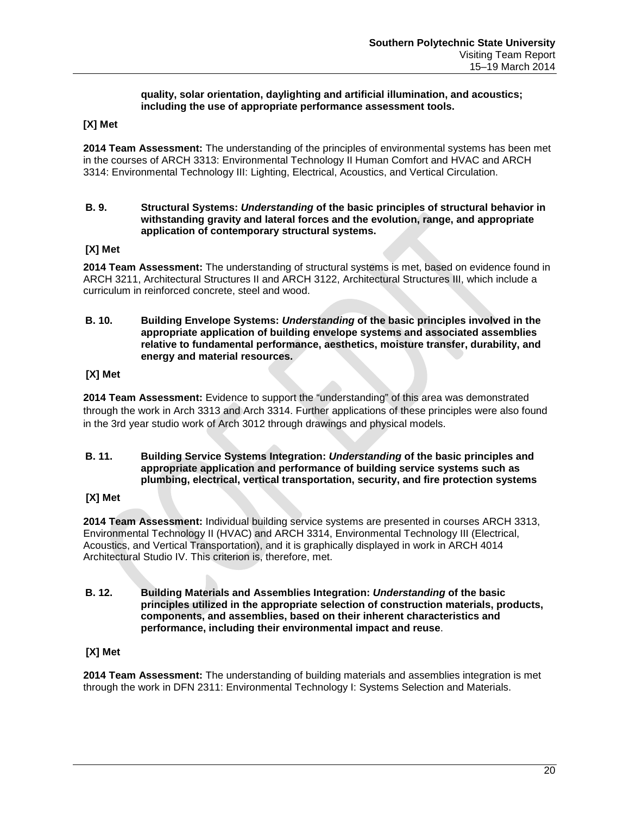## **quality, solar orientation, daylighting and artificial illumination, and acoustics; including the use of appropriate performance assessment tools.**

## **[X] Met**

**2014 Team Assessment:** The understanding of the principles of environmental systems has been met in the courses of ARCH 3313: Environmental Technology II Human Comfort and HVAC and ARCH 3314: Environmental Technology III: Lighting, Electrical, Acoustics, and Vertical Circulation.

### **B. 9. Structural Systems:** *Understanding* **of the basic principles of structural behavior in withstanding gravity and lateral forces and the evolution, range, and appropriate application of contemporary structural systems.**

## **[X] Met**

**2014 Team Assessment:** The understanding of structural systems is met, based on evidence found in ARCH 3211, Architectural Structures II and ARCH 3122, Architectural Structures III, which include a curriculum in reinforced concrete, steel and wood.

**B. 10. Building Envelope Systems:** *Understanding* **of the basic principles involved in the appropriate application of building envelope systems and associated assemblies relative to fundamental performance, aesthetics, moisture transfer, durability, and energy and material resources.**

## **[X] Met**

**2014 Team Assessment:** Evidence to support the "understanding" of this area was demonstrated through the work in Arch 3313 and Arch 3314. Further applications of these principles were also found in the 3rd year studio work of Arch 3012 through drawings and physical models.

#### **B. 11. Building Service Systems Integration:** *Understanding* **of the basic principles and appropriate application and performance of building service systems such as plumbing, electrical, vertical transportation, security, and fire protection systems**

## **[X] Met**

**2014 Team Assessment:** Individual building service systems are presented in courses ARCH 3313, Environmental Technology II (HVAC) and ARCH 3314, Environmental Technology III (Electrical, Acoustics, and Vertical Transportation), and it is graphically displayed in work in ARCH 4014 Architectural Studio IV. This criterion is, therefore, met.

**B. 12. Building Materials and Assemblies Integration:** *Understanding* **of the basic principles utilized in the appropriate selection of construction materials, products, components, and assemblies, based on their inherent characteristics and performance, including their environmental impact and reuse**.

## **[X] Met**

**2014 Team Assessment:** The understanding of building materials and assemblies integration is met through the work in DFN 2311: Environmental Technology I: Systems Selection and Materials.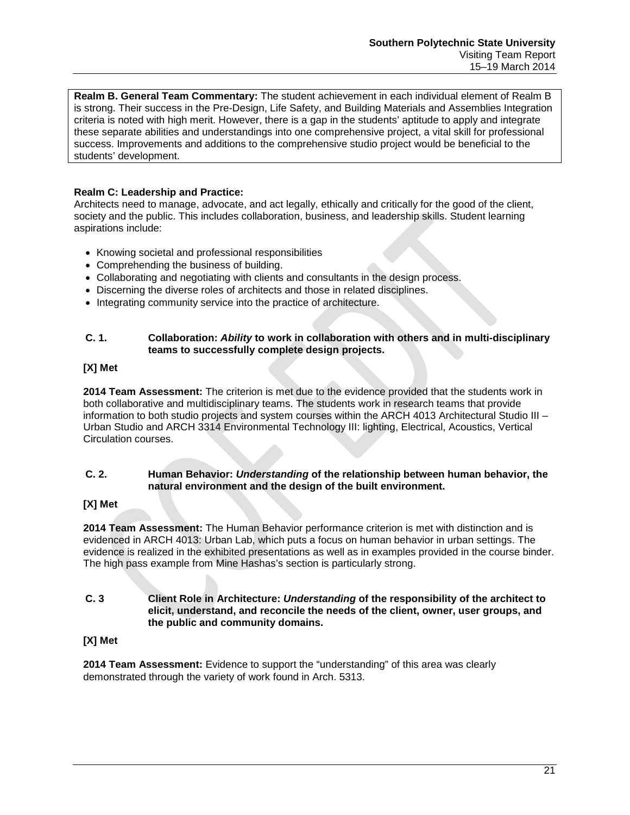**Realm B. General Team Commentary:** The student achievement in each individual element of Realm B is strong. Their success in the Pre-Design, Life Safety, and Building Materials and Assemblies Integration criteria is noted with high merit. However, there is a gap in the students' aptitude to apply and integrate these separate abilities and understandings into one comprehensive project, a vital skill for professional success. Improvements and additions to the comprehensive studio project would be beneficial to the students' development.

## **Realm C: Leadership and Practice:**

Architects need to manage, advocate, and act legally, ethically and critically for the good of the client, society and the public. This includes collaboration, business, and leadership skills. Student learning aspirations include:

- Knowing societal and professional responsibilities
- Comprehending the business of building.
- Collaborating and negotiating with clients and consultants in the design process.
- Discerning the diverse roles of architects and those in related disciplines.
- Integrating community service into the practice of architecture.

## **C. 1. Collaboration:** *Ability* **to work in collaboration with others and in multi-disciplinary teams to successfully complete design projects.**

## **[X] Met**

**2014 Team Assessment:** The criterion is met due to the evidence provided that the students work in both collaborative and multidisciplinary teams. The students work in research teams that provide information to both studio projects and system courses within the ARCH 4013 Architectural Studio III – Urban Studio and ARCH 3314 Environmental Technology III: lighting, Electrical, Acoustics, Vertical Circulation courses.

## **C. 2. Human Behavior:** *Understanding* **of the relationship between human behavior, the natural environment and the design of the built environment.**

## **[X] Met**

**2014 Team Assessment:** The Human Behavior performance criterion is met with distinction and is evidenced in ARCH 4013: Urban Lab, which puts a focus on human behavior in urban settings. The evidence is realized in the exhibited presentations as well as in examples provided in the course binder. The high pass example from Mine Hashas's section is particularly strong.

**C. 3 Client Role in Architecture:** *Understanding* **of the responsibility of the architect to elicit, understand, and reconcile the needs of the client, owner, user groups, and the public and community domains.**

## **[X] Met**

**2014 Team Assessment:** Evidence to support the "understanding" of this area was clearly demonstrated through the variety of work found in Arch. 5313.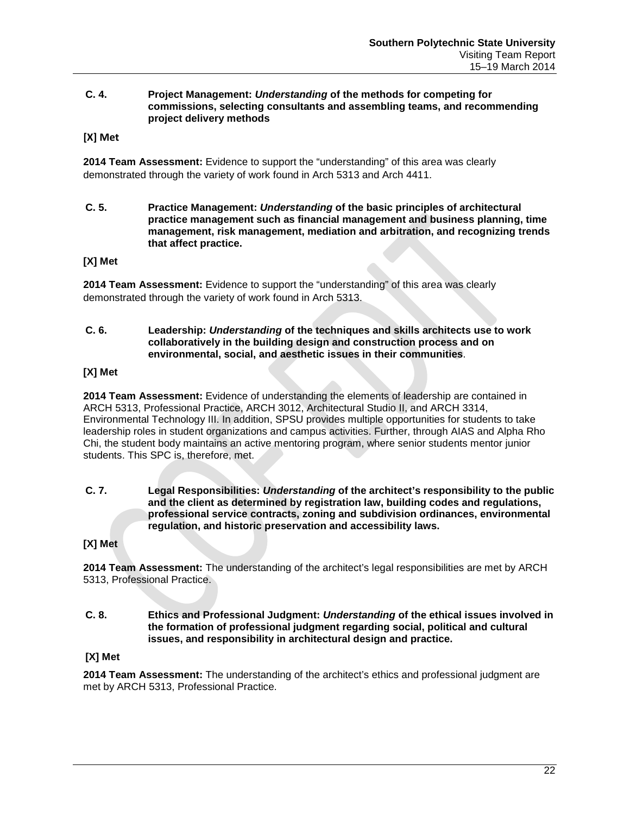### **C. 4. Project Management:** *Understanding* **of the methods for competing for commissions, selecting consultants and assembling teams, and recommending project delivery methods**

**[X] Met**

**2014 Team Assessment:** Evidence to support the "understanding" of this area was clearly demonstrated through the variety of work found in Arch 5313 and Arch 4411.

**C. 5. Practice Management:** *Understanding* **of the basic principles of architectural practice management such as financial management and business planning, time management, risk management, mediation and arbitration, and recognizing trends that affect practice.**

## **[X] Met**

**2014 Team Assessment:** Evidence to support the "understanding" of this area was clearly demonstrated through the variety of work found in Arch 5313.

#### **C. 6. Leadership:** *Understanding* **of the techniques and skills architects use to work collaboratively in the building design and construction process and on environmental, social, and aesthetic issues in their communities**.

### **[X] Met**

**2014 Team Assessment:** Evidence of understanding the elements of leadership are contained in ARCH 5313, Professional Practice, ARCH 3012, Architectural Studio II, and ARCH 3314, Environmental Technology III. In addition, SPSU provides multiple opportunities for students to take leadership roles in student organizations and campus activities. Further, through AIAS and Alpha Rho Chi, the student body maintains an active mentoring program, where senior students mentor junior students. This SPC is, therefore, met.

**C. 7. Legal Responsibilities:** *Understanding* **of the architect's responsibility to the public and the client as determined by registration law, building codes and regulations, professional service contracts, zoning and subdivision ordinances, environmental regulation, and historic preservation and accessibility laws.**

**[X] Met**

**2014 Team Assessment:** The understanding of the architect's legal responsibilities are met by ARCH 5313, Professional Practice.

**C. 8. Ethics and Professional Judgment:** *Understanding* **of the ethical issues involved in the formation of professional judgment regarding social, political and cultural issues, and responsibility in architectural design and practice.**

## **[X] Met**

**2014 Team Assessment:** The understanding of the architect's ethics and professional judgment are met by ARCH 5313, Professional Practice.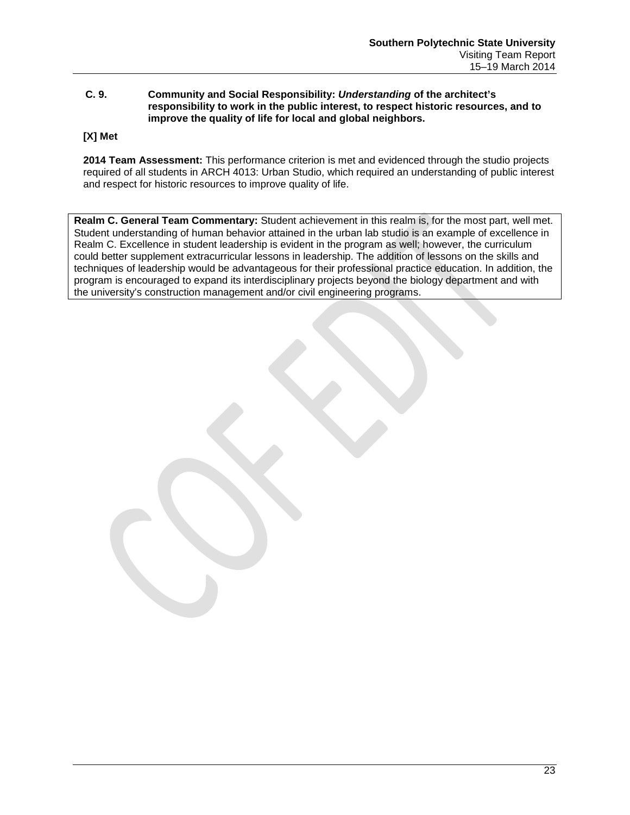## **C. 9. Community and Social Responsibility:** *Understanding* **of the architect's responsibility to work in the public interest, to respect historic resources, and to improve the quality of life for local and global neighbors.**

## **[X] Met**

**2014 Team Assessment:** This performance criterion is met and evidenced through the studio projects required of all students in ARCH 4013: Urban Studio, which required an understanding of public interest and respect for historic resources to improve quality of life.

**Realm C. General Team Commentary:** Student achievement in this realm is, for the most part, well met. Student understanding of human behavior attained in the urban lab studio is an example of excellence in Realm C. Excellence in student leadership is evident in the program as well; however, the curriculum could better supplement extracurricular lessons in leadership. The addition of lessons on the skills and techniques of leadership would be advantageous for their professional practice education. In addition, the program is encouraged to expand its interdisciplinary projects beyond the biology department and with the university's construction management and/or civil engineering programs.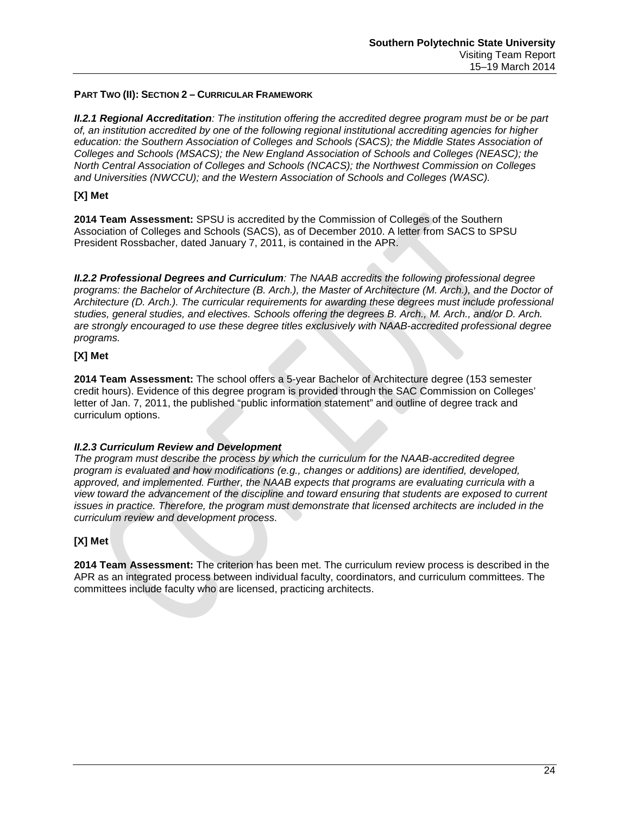## **PART TWO (II): SECTION 2 – CURRICULAR FRAMEWORK**

*II.2.1 Regional Accreditation: The institution offering the accredited degree program must be or be part of, an institution accredited by one of the following regional institutional accrediting agencies for higher*  education: the Southern Association of Colleges and Schools (SACS); the Middle States Association of *Colleges and Schools (MSACS); the New England Association of Schools and Colleges (NEASC); the North Central Association of Colleges and Schools (NCACS); the Northwest Commission on Colleges and Universities (NWCCU); and the Western Association of Schools and Colleges (WASC).*

## **[X] Met**

**2014 Team Assessment:** SPSU is accredited by the Commission of Colleges of the Southern Association of Colleges and Schools (SACS), as of December 2010. A letter from SACS to SPSU President Rossbacher, dated January 7, 2011, is contained in the APR.

*II.2.2 Professional Degrees and Curriculum: The NAAB accredits the following professional degree programs: the Bachelor of Architecture (B. Arch.), the Master of Architecture (M. Arch.), and the Doctor of Architecture (D. Arch.). The curricular requirements for awarding these degrees must include professional studies, general studies, and electives. Schools offering the degrees B. Arch., M. Arch., and/or D. Arch. are strongly encouraged to use these degree titles exclusively with NAAB-accredited professional degree programs.*

## **[X] Met**

**2014 Team Assessment:** The school offers a 5-year Bachelor of Architecture degree (153 semester credit hours). Evidence of this degree program is provided through the SAC Commission on Colleges' letter of Jan. 7, 2011, the published "public information statement" and outline of degree track and curriculum options.

## *II.2.3 Curriculum Review and Development*

*The program must describe the process by which the curriculum for the NAAB-accredited degree program is evaluated and how modifications (e.g., changes or additions) are identified, developed, approved, and implemented. Further, the NAAB expects that programs are evaluating curricula with a view toward the advancement of the discipline and toward ensuring that students are exposed to current issues in practice. Therefore, the program must demonstrate that licensed architects are included in the curriculum review and development process.* 

## **[X] Met**

**2014 Team Assessment:** The criterion has been met. The curriculum review process is described in the APR as an integrated process between individual faculty, coordinators, and curriculum committees. The committees include faculty who are licensed, practicing architects.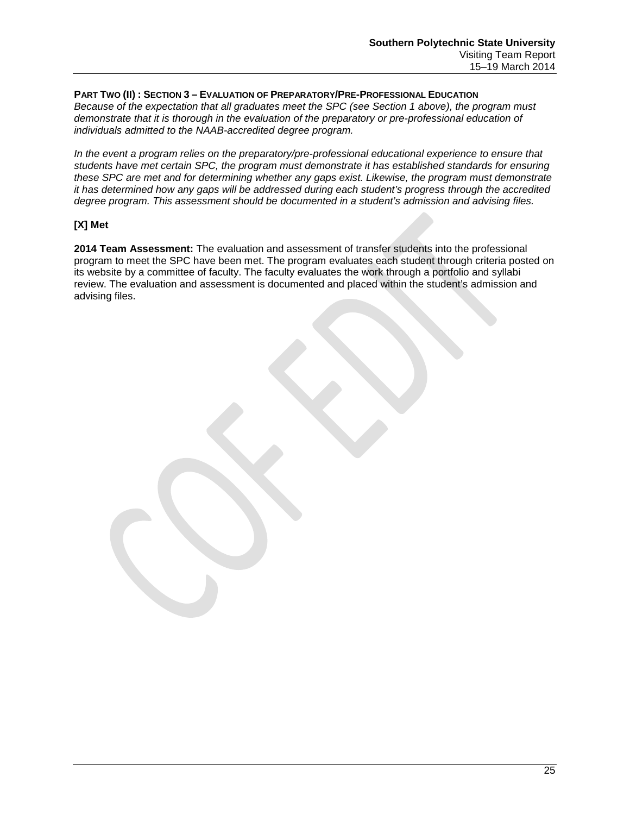## **PART TWO (II) : SECTION 3 – EVALUATION OF PREPARATORY/PRE-PROFESSIONAL EDUCATION**

*Because of the expectation that all graduates meet the SPC (see Section 1 above), the program must demonstrate that it is thorough in the evaluation of the preparatory or pre-professional education of individuals admitted to the NAAB-accredited degree program.* 

*In the event a program relies on the preparatory/pre-professional educational experience to ensure that students have met certain SPC, the program must demonstrate it has established standards for ensuring these SPC are met and for determining whether any gaps exist. Likewise, the program must demonstrate it has determined how any gaps will be addressed during each student's progress through the accredited degree program. This assessment should be documented in a student's admission and advising files.*

## **[X] Met**

**2014 Team Assessment:** The evaluation and assessment of transfer students into the professional program to meet the SPC have been met. The program evaluates each student through criteria posted on its website by a committee of faculty. The faculty evaluates the work through a portfolio and syllabi review. The evaluation and assessment is documented and placed within the student's admission and advising files.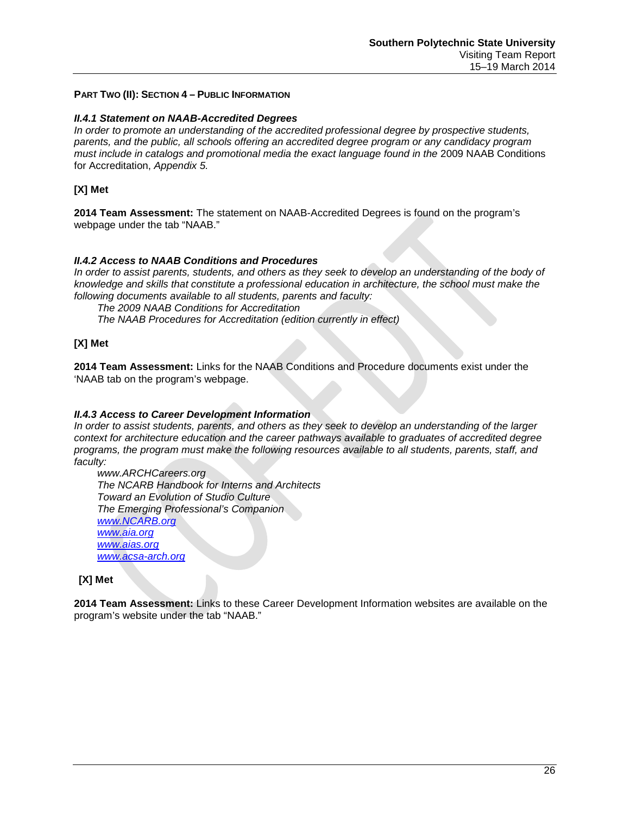### **PART TWO (II): SECTION 4 – PUBLIC INFORMATION**

#### *II.4.1 Statement on NAAB-Accredited Degrees*

*In order to promote an understanding of the accredited professional degree by prospective students, parents, and the public, all schools offering an accredited degree program or any candidacy program must include in catalogs and promotional media the exact language found in the* 2009 NAAB Conditions for Accreditation, *Appendix 5.*

## **[X] Met**

**2014 Team Assessment:** The statement on NAAB-Accredited Degrees is found on the program's webpage under the tab "NAAB."

## *II.4.2 Access to NAAB Conditions and Procedures*

In order to assist parents, students, and others as they seek to develop an understanding of the body of *knowledge and skills that constitute a professional education in architecture, the school must make the following documents available to all students, parents and faculty:* 

*The 2009 NAAB Conditions for Accreditation*

*The NAAB Procedures for Accreditation (edition currently in effect)*

## **[X] Met**

**2014 Team Assessment:** Links for the NAAB Conditions and Procedure documents exist under the 'NAAB tab on the program's webpage.

## *II.4.3 Access to Career Development Information*

*In order to assist students, parents, and others as they seek to develop an understanding of the larger context for architecture education and the career pathways available to graduates of accredited degree programs, the program must make the following resources available to all students, parents, staff, and faculty:*

*www.ARCHCareers.org The NCARB Handbook for Interns and Architects Toward an Evolution of Studio Culture The Emerging Professional's Companion [www.NCARB.org](http://www.ncarb.org/) [www.aia.org](http://www.aia.org/) [www.aias.org](http://www.aias.org/) [www.acsa-arch.org](http://www.acsa-arch.org/)*

**[X] Met**

**2014 Team Assessment:** Links to these Career Development Information websites are available on the program's website under the tab "NAAB."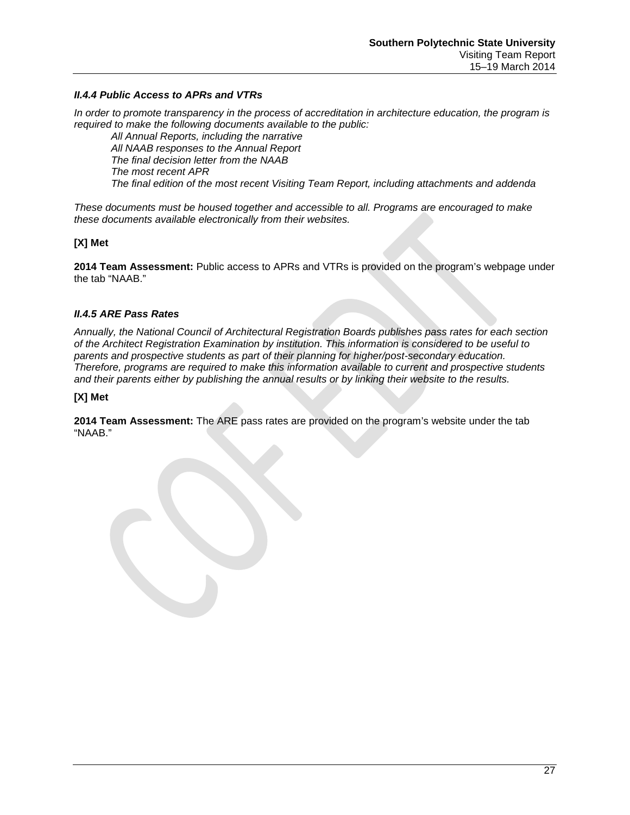## *II.4.4 Public Access to APRs and VTRs*

*In order to promote transparency in the process of accreditation in architecture education, the program is required to make the following documents available to the public:*

*All Annual Reports, including the narrative All NAAB responses to the Annual Report The final decision letter from the NAAB The most recent APR The final edition of the most recent Visiting Team Report, including attachments and addenda*

*These documents must be housed together and accessible to all. Programs are encouraged to make these documents available electronically from their websites.*

## **[X] Met**

**2014 Team Assessment:** Public access to APRs and VTRs is provided on the program's webpage under the tab "NAAB."

## *II.4.5 ARE Pass Rates*

*Annually, the National Council of Architectural Registration Boards publishes pass rates for each section of the Architect Registration Examination by institution. This information is considered to be useful to parents and prospective students as part of their planning for higher/post-secondary education. Therefore, programs are required to make this information available to current and prospective students and their parents either by publishing the annual results or by linking their website to the results.*

## **[X] Met**

**2014 Team Assessment:** The ARE pass rates are provided on the program's website under the tab "NAAB."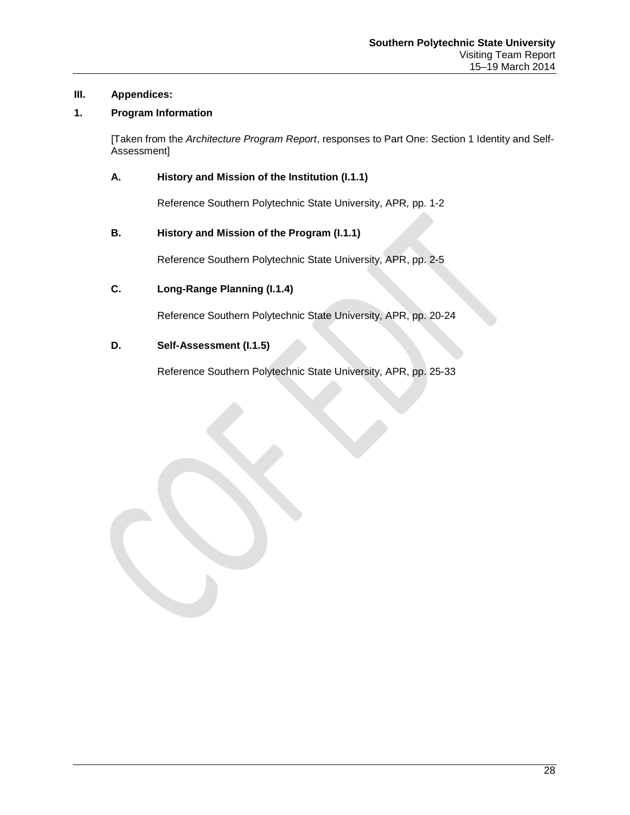## **III. Appendices:**

## **1. Program Information**

[Taken from the *Architecture Program Report*, responses to Part One: Section 1 Identity and Self-Assessment]

## **A. History and Mission of the Institution (I.1.1)**

Reference Southern Polytechnic State University, APR*,* pp. 1-2

## **B. History and Mission of the Program (I.1.1)**

Reference Southern Polytechnic State University, APR, pp. 2-5

## **C. Long-Range Planning (I.1.4)**

Reference Southern Polytechnic State University, APR, pp. 20-24

## **D. Self-Assessment (I.1.5)**

Reference Southern Polytechnic State University, APR, pp. 25-33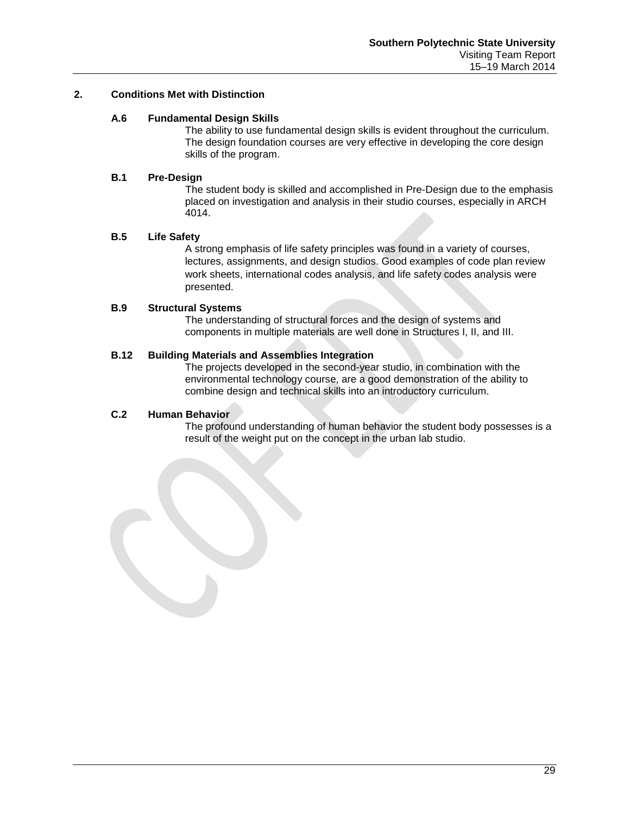## **2. Conditions Met with Distinction**

### **A.6 Fundamental Design Skills**

The ability to use fundamental design skills is evident throughout the curriculum. The design foundation courses are very effective in developing the core design skills of the program.

#### **B.1 Pre-Design**

The student body is skilled and accomplished in Pre-Design due to the emphasis placed on investigation and analysis in their studio courses, especially in ARCH 4014.

### **B.5 Life Safety**

A strong emphasis of life safety principles was found in a variety of courses, lectures, assignments, and design studios. Good examples of code plan review work sheets, international codes analysis, and life safety codes analysis were presented.

### **B.9 Structural Systems**

The understanding of structural forces and the design of systems and components in multiple materials are well done in Structures I, II, and III.

### **B.12 Building Materials and Assemblies Integration**

The projects developed in the second-year studio, in combination with the environmental technology course, are a good demonstration of the ability to combine design and technical skills into an introductory curriculum.

#### **C.2 Human Behavior**

The profound understanding of human behavior the student body possesses is a result of the weight put on the concept in the urban lab studio.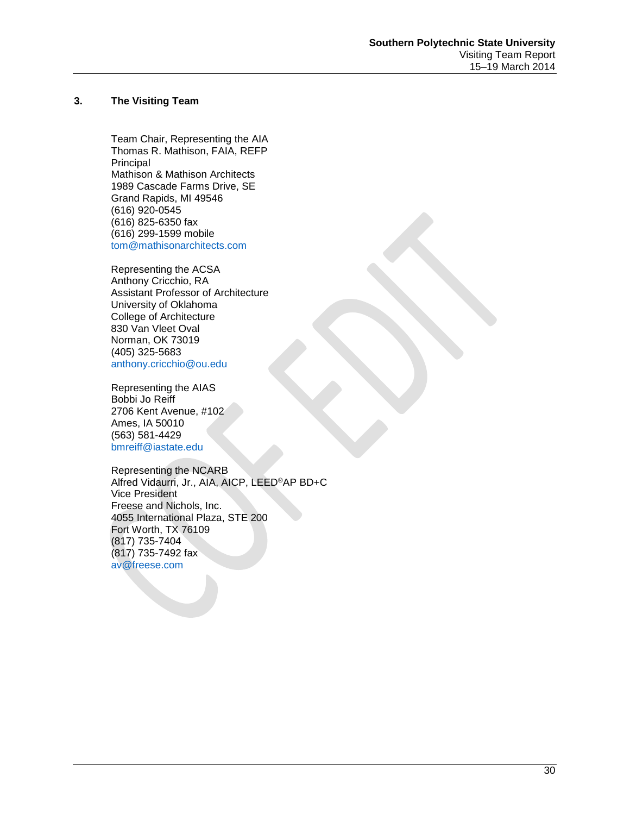## **3. The Visiting Team**

Team Chair, Representing the AIA Thomas R. Mathison, FAIA, REFP Principal Mathison & Mathison Architects 1989 Cascade Farms Drive, SE Grand Rapids, MI 49546 (616) 920-0545 (616) 825-6350 fax (616) 299-1599 mobile [tom@mathisonarchitects.com](mailto:tom@mathisonarchitects.com)

Representing the ACSA Anthony Cricchio, RA Assistant Professor of Architecture University of Oklahoma College of Architecture 830 Van Vleet Oval Norman, OK 73019 (405) 325-5683 [anthony.cricchio@ou.edu](mailto:anthony.cricchio@ou.edu)

Representing the AIAS Bobbi Jo Reiff 2706 Kent Avenue, #102 Ames, IA 50010 (563) 581-4429 [bmreiff@iastate.edu](mailto:bmreiff@iastate.edu)

Representing the NCARB Alfred Vidaurri, Jr., AIA, AICP, LEED®AP BD+C Vice President Freese and Nichols, Inc. 4055 International Plaza, STE 200 Fort Worth, TX 76109 (817) 735-7404 (817) 735-7492 fax [av@freese.com](mailto:av@freese.com)